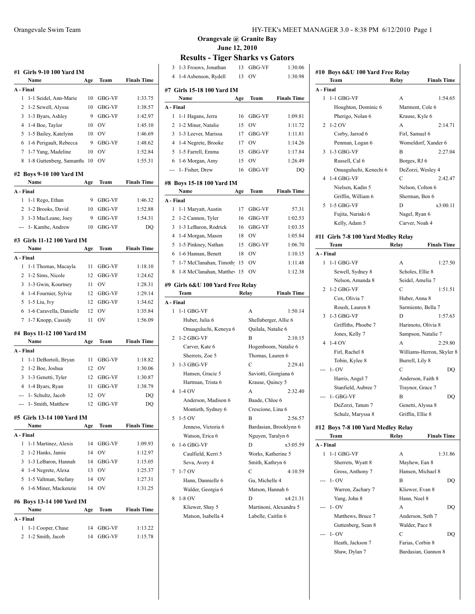|                | #1 Girls 9-10 100 Yard IM<br>Name | Age | Team      | <b>Finals Time</b> |
|----------------|-----------------------------------|-----|-----------|--------------------|
|                | A - Final                         |     |           |                    |
| 1              | 1-1 Seidel, Ann-Marie             | 10  | GBG-VF    | 1:33.75            |
| 2              | 1-2 Sewell, Alyssa                | 10  | GBG-VF    | 1:38.57            |
| 3              | 1-3 Byars, Ashley                 | 9   | GBG-VF    | 1:42.97            |
| 4              | 1-4 Boe, Taylor                   | 10  | <b>OV</b> | 1:45.10            |
| 5              | 1-5 Bailey, Katelynn              | 10  | <b>OV</b> | 1:46.69            |
| 6              | 1-6 Perigault, Rebecca            | 9   | GBG-VF    | 1:48.62            |
| 7              | 1-7 Yang, Madeline                | 10  | OV        | 1:52.84            |
| 8              | 1-8 Guttenberg, Samantha 10       |     | OV        | 1:55.31            |
|                |                                   |     |           |                    |
|                | #2  Boys 9-10 100 Yard IM<br>Name | Age | Team      | <b>Finals Time</b> |
|                | A - Final                         |     |           |                    |
| 1              | 1-1 Rego, Ethan                   | 9   | GBG-VF    | 1:46.32            |
| 2              | 1-2 Brooks, David                 | 10  | GBG-VF    | 1:52.88            |
| 3              | 1-3 MacLeane, Joey                | 9   | GBG-VF    | 1:54.31            |
| $\overline{a}$ | 1- Kambe, Andrew                  | 10  | GBG-VF    | DQ                 |
|                | #3 Girls 11-12 100 Yard IM        |     |           |                    |
|                | Name                              | Age | Team      | <b>Finals Time</b> |
|                | A - Final                         |     |           |                    |
| 1              | 1-1 Thomas, Macayla               | 11  | GBG-VF    | 1:18.10            |
| 2              | 1-2 Sims, Nicole                  | 12  | GBG-VF    | 1:24.62            |
| 3              | 1-3 Gwin, Kourtney                | 11  | <b>OV</b> | 1:28.31            |
| 4              | 1-4 Fournier, Sylvie              | 12  | GBG-VF    | 1:29.14            |
|                |                                   |     |           |                    |
| 5              | 1-5 Liu, Ivy                      | 12  | GBG-VF    | 1:34.62            |
| 6              | 1-6 Caravella, Danielle           | 12  | OV        | 1:35.84            |
| 7              | 1-7 Knopp, Cassidy                | 11  | OV        | 1:56.09            |
|                | #4 Boys 11-12 100 Yard IM<br>Name |     | Team      | <b>Finals Time</b> |
|                |                                   | Age |           |                    |
|                | A - Final                         |     |           |                    |
| 1              | 1-1 DeBortoli, Bryan              | 11  | GBG-VF    | 1:18.82            |
| 2              | 1-2 Boe, Joshua                   | 12  | OV        | 1:30.06            |
| 3              | 1-3 Genetti, Tyler                | 12  | GBG-VF    | 1:30.87            |
| 4              | 1-4 Byars, Ryan                   | 11  | GBG-VF    | 1:38.79            |
| ---            | 1- Schultz, Jacob                 | 12  | <b>OV</b> | DQ                 |
| ---            | 1- Smith, Matthew                 | 12  | GBG-VF    | DQ                 |
|                | #5  Girls 13-14 100 Yard IM       |     |           |                    |
|                | Name                              | Age | Team      | <b>Finals Time</b> |
|                | A - Final                         |     |           |                    |
| 1              | 1-1 Martinez, Alexis              | 14  | GBG-VF    | 1:09.93            |
| 2              | 1-2 Hanks, Jamie                  | 14  | OV        | 1:12.97            |
| 3              | 1-3 LeBaron, Hannah               | 14  | GBG-VF    | 1:15.05            |
| 4              | 1-4 Negrete, Alexa                | 13  | OV        | 1:25.37            |
|                | 1-5 Valtman, Stefany              | 14  | OV        | 1:27.31            |
| 5              |                                   |     | OV        | 1:31.25            |
| 6              | 1-6 Miner, Mackenzie              | 14  |           |                    |
|                | #6 Boys 13-14 100 Yard IM         |     |           |                    |
|                | Name                              | Age | Team      | <b>Finals Time</b> |
|                | A - Final                         |     |           |                    |
| 1              | 1-1 Cooper, Chase                 | 14  | GBG-VF    | 1:13.22            |

| 3         | 1-3 Frouws, Jonathan                | 13  | GBG-VF                | 1:30.06                |  |
|-----------|-------------------------------------|-----|-----------------------|------------------------|--|
|           | 4 1-4 Asbenson, Rydell              | 13  | OV                    | 1:30.98                |  |
|           |                                     |     |                       |                        |  |
|           | #7  Girls 15-18 100 Yard IM<br>Name |     |                       | <b>Finals Time</b>     |  |
|           |                                     | Age | Team                  |                        |  |
| A - Final |                                     |     |                       |                        |  |
| 1         | 1-1 Hagans, Jerra                   | 16  | GBG-VF                | 1:09.81                |  |
|           | 2 1-2 Miner, Natalie                | 15  | OV                    | 1:11.72                |  |
|           | 3 1-3 Leever, Marissa               |     | 17 GBG-VF             | 1:11.81                |  |
|           | 4 1-4 Negrete, Brooke               | 17  | OV                    | 1:14.26                |  |
|           | 5 1-5 Farrell, Emma                 | 15  | GBG-VF                | 1:17.84                |  |
|           | 6 1-6 Morgan, Amy                   | 15  | OV.                   | 1:26.49                |  |
|           | --- 1- Fisher, Drew                 | 16  | GBG-VF                | DQ                     |  |
|           | #8  Boys 15-18 100 Yard IM          |     |                       |                        |  |
|           | Name                                | Age | Team                  | <b>Finals Time</b>     |  |
| A - Final |                                     |     |                       |                        |  |
| 1         | 1-1 Maryatt, Austin                 |     | 17 GBG-VF             | 57.31                  |  |
|           | 2 1-2 Cannon, Tyler                 | 16  | GBG-VF                | 1:02.53                |  |
|           | 3 1-3 LeBaron, Rodrick              |     | 16 GBG-VF             | 1:03.35                |  |
|           | 4 1-4 Morgan, Mason                 |     | 18 OV                 | 1:05.84                |  |
|           | 5 1-5 Pinkney, Nathan               | 15  | GBG-VF                | 1:06.70                |  |
|           | 6 1-6 Hannan, Benett                | 18  | <b>OV</b>             | 1:10.15                |  |
|           | 7 1-7 McClanahan, Timoth 15         |     | <b>OV</b>             | 1:11.48                |  |
|           | 8 1-8 McClanahan, Matthey 15        |     | OV                    | 1:12.38                |  |
|           |                                     |     |                       |                        |  |
|           | #9 Girls 6&U 100 Yard Free Relay    |     |                       |                        |  |
|           | Team                                |     | Relay                 | <b>Finals Time</b>     |  |
| A - Final |                                     |     |                       |                        |  |
| 1         | 1-1 GBG-VF                          |     | A                     | 1:50.14                |  |
|           | Huber, Julia 6                      |     | Shellaberger, Allie 6 |                        |  |
|           | Onuaguluchi, Keneya 6               |     | Quilala, Natalie 6    |                        |  |
| 2         | $1-2$ GBG-VF                        |     | В                     | 2:10.15                |  |
|           | Carver, Kate 6                      |     |                       | Hogenboom, Natalie 6   |  |
|           | Sherrets, Zoe 5                     |     | Thomas, Lauren 6      |                        |  |
| 3         | 1-3 GBG-VF                          |     | C                     | 2:29.41                |  |
|           | Hansen, Gracie 5                    |     | Saviotti, Giorgiana 6 |                        |  |
|           | Hartman, Trista 6                   |     | Krause, Quincy 5      |                        |  |
| 4         | $1-4$ OV                            |     | A                     | 2:32.40                |  |
|           | Anderson, Madison 6                 |     | Baade, Chloe 6        |                        |  |
|           | Montieth, Sydney 6                  |     | Crescione, Lina 6     |                        |  |
| 5         | $1-5$ OV                            |     | В                     | 2:56.57                |  |
|           | Jenness, Victoria 6                 |     |                       | Bardasian, Brooklynn 6 |  |
|           | Watson, Erica 6                     |     | Nguyen, Taralyn 6     |                        |  |
| 6         | 1-6 GBG-VF                          |     | D                     | x3:05.59               |  |
|           |                                     |     |                       |                        |  |
|           | Caulfield, Kerri 5                  |     | Works, Katherine 5    |                        |  |
|           | Seva, Avery 4                       |     | Smith, Kathryn 6      |                        |  |
| 7         | 1-7 OV                              |     | С                     | 4:10.59                |  |
|           | Hann, Dannielle 6                   |     | Gu, Michelle 4        |                        |  |
|           | Walder, Georgia 6                   |     | Matson, Hannah 6      |                        |  |
| 8         | 1-8 OV                              |     | D                     | x4:21.31               |  |
|           | Kliewer, Shay 5                     |     |                       | Martinoni, Alexandra 5 |  |
|           | Matson, Isabella 4                  |     | Labelle, Caitlin 6    |                        |  |
|           |                                     |     |                       |                        |  |

|           | #10 Boys 6&U 100 Yard Free Relay            |                    |                           |
|-----------|---------------------------------------------|--------------------|---------------------------|
|           | Team                                        | Relay              | <b>Finals Time</b>        |
| A - Final |                                             |                    |                           |
| 1         | $1-1$ GBG-VF                                | A                  | 1:54.65                   |
|           | Houghton, Dominic 6                         | Marment, Cole 6    |                           |
|           | Pherigo, Nolan 6                            | Krause, Kyle 6     |                           |
| 2         | $1-2$ OV                                    | A                  | 2:14.71                   |
|           | Corby, Jarrod 6                             | Firl, Samuel 6     |                           |
|           | Penman, Logan 6                             |                    | Womeldorf, Xander 6       |
| 3         | $1-3$ GBG-VF                                | B                  | 2:27.04                   |
|           | Russell, Cal 6                              | Borges, RJ 6       |                           |
|           | Onuaguluchi, Kenechi 6                      | DeZorzi, Wesley 4  |                           |
| 4         | $1-4$ GBG-VF                                | C                  | 2:42.47                   |
|           | Nielsen, Kadin 5                            | Nelson, Colton 6   |                           |
|           | Griffin, William 6                          | Sherman, Ben 6     |                           |
| 5         | $1-5$ GBG-VF                                | D                  | x3:00.11                  |
|           | Fujita, Nariaki 6                           | Nagel, Ryan 6      |                           |
|           | Kelly, Adam 5                               | Carver, Noah 4     |                           |
|           |                                             |                    |                           |
|           | #11 Girls 7-8 100 Yard Medley Relay<br>Team | Relay              | <b>Finals Time</b>        |
| A - Final |                                             |                    |                           |
| 1         | $1-1$ GBG-VF                                | A                  | 1:27.50                   |
|           | Sewell, Sydney 8                            | Scholes, Ellie 8   |                           |
|           | Nelson, Amanda 8                            | Seidel, Amelia 7   |                           |
| 2         | $1-2$ GBG-VF                                | С                  | 1:51.51                   |
|           | Cox, Olivia 7                               | Huber, Anna 8      |                           |
|           | Roush, Lauren 8                             | Sarmiento, Bella 7 |                           |
| 3         | $1-3$ GBG-VF                                | D                  | 1:57.63                   |
|           | Griffiths, Phoebe 7                         | Harimoto, Olivia 8 |                           |
|           | Jones, Kelly 7                              |                    | Sampson, Natalie 7        |
| 4         | 1-4 OV                                      | A                  | 2:29.80                   |
|           | Firl, Rachel 8                              |                    | Williams-Herron, Skyler 8 |
|           | Tobin, Kylee 8                              | Burrell, Lily 8    |                           |
|           | $1 - OV$                                    | C                  | DO                        |
|           | Harris, Angel 7                             | Anderson, Faith 8  |                           |
|           | Stanfield, Aubree 7                         | Traynor, Grace 7   |                           |
|           | 1- GBG-VF                                   | B                  | DQ                        |
|           | DeZorzi, Tatum 7                            | Genetti, Alyssa 8  |                           |
|           | Schulz, Maryssa 8                           | Griffin, Ellie 8   |                           |
|           |                                             |                    |                           |
|           | #12 Boys 7-8 100 Yard Medley Relay          |                    |                           |
|           | Team                                        | Relay              | <b>Finals Time</b>        |
| A - Final |                                             |                    |                           |
| 1         | $1-1$ GBG-VF                                | A                  | 1:31.86                   |
|           | Sherrets, Wyatt 8                           | Mayhew, Ean 8      |                           |
|           | Gross, Anthony 7                            | Hansen, Michael 8  |                           |
| ---       | $1 - OV$                                    | B                  | DQ                        |
|           | Warren, Zachary 7                           | Kliewer, Evan 8    |                           |
|           | Yang, John 8                                | Hann, Noel 8       |                           |
|           | $1 - OV$                                    | A                  | DQ                        |
|           | Matthews, Bruce 7                           | Anderson, Seth 7   |                           |
|           | Guttenberg, Sean 8                          | Walder, Pace 8     |                           |
|           | $1 - OV$                                    | С                  | DQ                        |
|           | Heath, Jackson 7                            | Farias, Corbin 8   |                           |
|           | Shaw, Dylan 7                               |                    | Bardasian, Gannon 8       |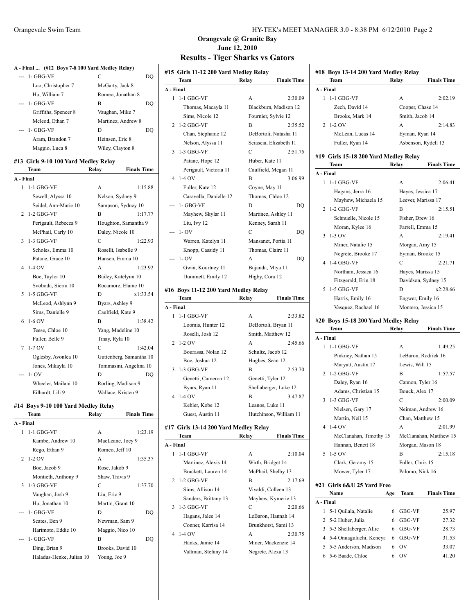|           | A - Final  (#12 Boys 7-8 100 Yard Medley Relay)     |                             |
|-----------|-----------------------------------------------------|-----------------------------|
| ---       | 1- GBG-VF                                           | C<br>DQ                     |
|           | Luo, Christopher 7                                  | McGarty, Jack 8             |
|           | Hu, William 7                                       | Romeo, Jonathan 8           |
| ---       | 1- GBG-VF                                           | B<br>DQ                     |
|           | Griffiths, Spencer 8                                | Vaughan, Mike 7             |
|           | Mcleod, Ethan 7                                     | Martinez, Andrew 8          |
| ---       | 1- GBG-VF                                           | D<br>DQ                     |
|           | Aram, Brandon 7<br>Maggio, Luca 8                   | Heinsen, Eric 8             |
|           |                                                     | Wiley, Clayton 8            |
|           | #13 Girls 9-10 100 Yard Medley Relay<br><b>Team</b> | <b>Finals Time</b><br>Relay |
| A - Final |                                                     |                             |
|           | 1 1-1 GBG-VF                                        | 1:15.88<br>А                |
|           | Sewell, Alyssa 10                                   | Nelson, Sydney 9            |
|           | Seidel, Ann-Marie 10                                | Sampson, Sydney 10          |
| 2         | $1-2$ GBG-VF                                        | 1:17.77<br>B                |
|           | Perigault, Rebecca 9                                | Houghton, Samantha 9        |
|           | McPhail, Carly 10                                   | Daley, Nicole 10            |
| 3         | 1-3 GBG-VF                                          | $\mathcal{C}$<br>1:22.93    |
|           | Scholes, Emma 10                                    | Roselli, Isabelle 9         |
|           | Patane, Grace 10                                    | Hansen, Emma 10             |
| 4         | 1-4 OV                                              | 1:23.92<br>A                |
|           | Boe, Taylor 10                                      | Bailey, Katelynn 10         |
|           | Svoboda, Sierra 10                                  | Rocamore, Elaine 10         |
| 5         | 1-5 GBG-VF                                          | x1:33.54<br>D               |
|           | McLeod, Ashlynn 9                                   | Byars, Ashley 9             |
|           | Sims, Danielle 9                                    | Caulfield, Kate 9           |
| 6         | $1-6$ OV                                            | 1:38.42<br>В                |
|           | Teese, Chloe 10                                     | Yang, Madeline 10           |
|           | Fuller, Belle 9                                     | Tinay, Ryla 10              |
| 7         | $1-7$ OV                                            | C<br>1:42.04                |
|           | Oglesby, Avonlea 10                                 | Guttenberg, Samantha 10     |
|           | Jones, Mikayla 10                                   | Tommasini, Angelina 10      |
|           | $1 - OV$                                            | D<br>DQ                     |
|           | Wheeler, Mailani 10                                 | Rorling, Madison 9          |
|           | Eilhardt, Lili 9                                    | Wallace, Kristen 9          |
|           | #14 Boys 9-10 100 Yard Medley Relay                 |                             |
|           | Team                                                | <b>Finals Time</b><br>Relay |
| A - Final |                                                     |                             |
| 1         | 1-1 GBG-VF                                          | А<br>1:23.19                |
|           | Kambe, Andrew 10                                    | MacLeane, Joey 9            |
|           | Rego, Ethan 9                                       | Romeo, Jeff 10              |
| 2         | 1-2 OV                                              | A<br>1:35.37                |
|           | Boe, Jacob 9                                        | Rose, Jakob 9               |
|           | Montieth, Anthony 9                                 | Shaw, Travis 9              |
| 3         | 1-3 GBG-VF                                          | C<br>1:37.70                |
|           | Vaughan, Josh 9                                     | Liu, Eric 9                 |
|           | Hu, Jonathan 10                                     | Martin, Grant 10            |
|           | 1- GBG-VF                                           | D<br>DQ                     |
|           | Scates, Ben 9                                       | Newman, Sam 9               |
|           | Harimoto, Eddie 10                                  | Maggio, Nico 10             |
|           | 1- GBG-VF                                           | B<br>DQ                     |
|           | Ding, Brian 9                                       | Brooks, David 10            |
|           | Haladus-Henke, Julian 10                            | Young, Joe 9                |

#### Orangevale Swim Team HY-TEK's MEET MANAGER 3.0 - 8:38 PM 6/12/2010 Page 2

#### **Orangevale @ Granite Bay June 12, 2010 Results - Tiger Sharks vs Gators**

|           | #15 Girls 11-12 200 Yard Medley Relay |                   |                        |
|-----------|---------------------------------------|-------------------|------------------------|
|           | Team                                  | Relay             | <b>Finals Time</b>     |
| A - Final |                                       |                   |                        |
| 1         | $1-1$ GBG-VF                          | A                 | 2:30.09                |
|           | Thomas, Macayla 11                    |                   | Blackburn, Madison 12  |
|           | Sims, Nicole 12                       |                   | Fournier, Sylvie 12    |
| 2         | $1-2$ GBG-VF                          | B                 | 2:35.52                |
|           | Chan, Stephanie 12                    |                   | DeBortoli, Natasha 11  |
|           | Nelson, Alyssa 11                     |                   | Sciascia, Elizabeth 11 |
| 3         | 1-3 GBG-VF                            | C                 | 2:51.75                |
|           | Patane, Hope 12                       | Huber, Kate 11    |                        |
|           | Perigault, Victoria 11                |                   | Caulfield, Megan 11    |
| 4         | $1-4$ OV                              | В                 | 3:06.99                |
|           | Fuller, Kate 12                       | Coyne, May 11     |                        |
|           | Caravella, Danielle 12                | Thomas, Chloe 12  |                        |
|           | 1- GBG-VF                             | D                 | DQ                     |
|           | Mayhew, Skylar 11                     |                   | Martinez, Ashley 11    |
|           | Liu, Ivy 12                           | Kenney, Sarah 11  |                        |
| ---       | $1 - OV$                              | C                 | DQ                     |
|           | Warren, Katelyn 11                    |                   | Mansanet, Portia 11    |
|           | Knopp, Cassidy 11                     | Thomas, Claire 11 |                        |
| ---       | $1 - OV$                              | А                 | DQ                     |
|           | Gwin, Kourtney 11                     | Bujanda, Miya 11  |                        |
|           | Dummett, Emily 12                     | Higby, Cora 12    |                        |
|           | #16 Boys 11-12 200 Yard Medley Relay  |                   |                        |
|           | Team                                  | Relay             | <b>Finals Time</b>     |
| A - Final |                                       |                   |                        |
| 1         | $1-1$ GBG-VF                          | А                 | 2:33.82                |
|           | Loomis, Hunter 12                     |                   | DeBortoli, Bryan 11    |
|           | Roselli, Josh 12                      |                   | Smith, Matthew 12      |
| 2         | $1-2$ OV                              | А                 | 2:45.66                |
|           | Bourassa, Nolan 12                    | Schultz, Jacob 12 |                        |
|           | Boe, Joshua 12                        | Hughes, Sean 12   |                        |
| 3         | $1-3$ GBG-VF                          | B                 | 2:53.70                |
|           | Genetti, Cameron 12                   | Genetti, Tyler 12 |                        |
|           | Byars, Ryan 11                        |                   | Shellaberger, Luke 12  |
| 4         | 1-4 OV                                | В                 | 3:47.87                |
|           | Kehler, Kobe 12                       | Leanos, Luke 11   |                        |
|           | Guest, Austin 11                      |                   | Hutchinson, William 11 |
|           |                                       |                   |                        |
|           | #17 Girls 13-14 200 Yard Medley Relay |                   |                        |
|           | Team                                  | Relay             | <b>Finals Time</b>     |
| A - Final |                                       |                   |                        |
| 1         | 1-1 GBG-VF                            | A                 | 2:10.04                |
|           | Martinez, Alexis 14                   | Wirth, Bridget 14 |                        |
|           | Brackett, Lauren 14                   |                   | McPhail, Shelby 13     |
| 2         | 1-2 GBG-VF                            | B                 | 2:17.69                |
|           | Sims, Allison 14                      |                   | Vivaldi, Colleen 13    |

3 1-3 GBG-VF C

4 1-4 OV A 2:30.75

| irls 11-12 200 Yard Medley Relay |                                          |                        |           | #18 Boys 13-14 200 Yard Medley Relay          |       |                                         |                        |
|----------------------------------|------------------------------------------|------------------------|-----------|-----------------------------------------------|-------|-----------------------------------------|------------------------|
| `eam                             | Relay                                    | <b>Finals Time</b>     |           | Team                                          | Relay |                                         | <b>Finals Time</b>     |
| al                               |                                          |                        | A - Final |                                               |       |                                         |                        |
| -1 GBG-VF                        | A                                        | 2:30.09                |           | 1 1-1 GBG-VF                                  |       | A                                       | 2:02.19                |
| Thomas, Macayla 11               |                                          | Blackburn, Madison 12  |           | Zech, David 14                                |       | Cooper, Chase 14                        |                        |
| Sims, Nicole 12                  | Fournier, Sylvie 12                      |                        |           | Brooks, Mark 14                               |       | Smith, Jacob 14                         |                        |
| -2 GBG-VF                        | B                                        | 2:35.52                |           | 2 1-2 OV                                      |       | А                                       | 2:14.83                |
| Chan, Stephanie 12               |                                          | DeBortoli, Natasha 11  |           | McLean, Lucas 14                              |       | Eyman, Ryan 14                          |                        |
| Nelson, Alyssa 11                |                                          | Sciascia, Elizabeth 11 |           | Fuller, Ryan 14                               |       | Asbenson, Rydell 13                     |                        |
| -3 GBG-VF                        | C                                        | 2:51.75                |           |                                               |       |                                         |                        |
| Patane, Hope 12                  | Huber, Kate 11                           |                        |           | #19 Girls 15-18 200 Yard Medley Relay<br>Team |       | Relay                                   | <b>Finals Time</b>     |
| Perigault, Victoria 11           | Caulfield, Megan 11                      |                        | A - Final |                                               |       |                                         |                        |
| -4 OV                            | B                                        | 3:06.99                |           | 1 1-1 GBG-VF                                  |       | A                                       | 2:06.41                |
| Fuller, Kate 12                  | Coyne, May 11                            |                        |           | Hagans, Jerra 16                              |       | Hayes, Jessica 17                       |                        |
| Caravella, Danielle 12           | Thomas, Chloe 12                         |                        |           | Mayhew, Michaela 15                           |       | Leever, Marissa 17                      |                        |
| - GBG-VF                         | D                                        | DQ                     |           | 2 1-2 GBG-VF                                  |       | B                                       | 2:15.51                |
| Mayhew, Skylar 11                | Martinez, Ashley 11                      |                        |           | Schnuelle, Nicole 15                          |       | Fisher, Drew 16                         |                        |
| Liu, Ivy 12                      | Kenney, Sarah 11                         |                        |           | Moran, Kylee 16                               |       | Farrell, Emma 15                        |                        |
| - OV                             | C                                        | DQ                     |           | $3 - 1 - 3$ OV                                |       | А                                       | 2:19.41                |
| Warren, Katelyn 11               | Mansanet, Portia 11                      |                        |           |                                               |       |                                         |                        |
| Knopp, Cassidy 11                | Thomas, Claire 11                        |                        |           | Miner, Natalie 15                             |       | Morgan, Amy 15                          |                        |
| - OV                             | A                                        | DQ                     |           | Negrete, Brooke 17<br>4 1-4 GBG-VF            |       | Eyman, Brooke 15<br>C                   | 2:21.71                |
| Gwin, Kourtney 11                | Bujanda, Miya 11                         |                        |           |                                               |       | Hayes, Marissa 15                       |                        |
| Dummett, Emily 12                | Higby, Cora 12                           |                        |           | Northam, Jessica 16                           |       |                                         |                        |
|                                  |                                          |                        |           | Fitzgerald, Erin 18<br>5 1-5 GBG-VF           |       | Davidson, Sydney 15<br>D                | x2:28.66               |
| oys 11-12 200 Yard Medley Relay  |                                          |                        |           |                                               |       |                                         |                        |
| `eam                             | Relay                                    | <b>Finals Time</b>     |           | Harris, Emily 16                              |       | Engwer, Emily 16<br>Montero, Jessica 15 |                        |
| al<br>-1 GBG-VF                  | A                                        | 2:33.82                |           | Vasquez, Rachael 16                           |       |                                         |                        |
|                                  |                                          |                        |           | #20 Boys 15-18 200 Yard Medley Relay          |       |                                         |                        |
| Loomis, Hunter 12                | DeBortoli, Bryan 11<br>Smith, Matthew 12 |                        |           | Team                                          | Relay |                                         | <b>Finals Time</b>     |
| Roselli, Josh 12                 | A                                        | 2:45.66                | A - Final |                                               |       |                                         |                        |
| -2 OV                            |                                          |                        |           | 1 1-1 GBG-VF                                  |       | А                                       | 1:49.25                |
| Bourassa, Nolan 12               | Schultz, Jacob 12                        |                        |           | Pinkney, Nathan 15                            |       | LeBaron, Rodrick 16                     |                        |
| Boe, Joshua 12                   | Hughes, Sean 12<br>B                     |                        |           | Maryatt, Austin 17                            |       | Lewis, Will 15                          |                        |
| -3 GBG-VF                        |                                          | 2:53.70                |           | 2 1-2 GBG-VF                                  |       | B                                       | 1:57.57                |
| Genetti, Cameron 12              | Genetti, Tyler 12                        |                        |           | Daley, Ryan 16                                |       | Cannon, Tyler 16                        |                        |
| Byars, Ryan 11<br>-4 OV          |                                          | Shellaberger, Luke 12  |           | Adams, Christian 15                           |       | Bouck, Alex 17                          |                        |
|                                  | B                                        | 3:47.87                |           | 3 1-3 GBG-VF                                  |       | C                                       | 2:00.09                |
| Kehler, Kobe 12                  | Leanos, Luke 11                          |                        |           | Nielsen, Gary 17                              |       | Neiman, Andrew 16                       |                        |
| Guest, Austin 11                 |                                          | Hutchinson, William 11 |           | Martin, Neil 15                               |       | Chan, Matthew 15                        |                        |
| irls 13-14 200 Yard Medley Relay |                                          |                        |           | 4 1-4 OV                                      |       | A                                       | 2:01.99                |
| `eam                             | Relay                                    | <b>Finals Time</b>     |           | McClanahan, Timothy 15                        |       |                                         | McClanahan, Matthew 15 |
| al                               |                                          |                        |           | Hannan, Benett 18                             |       | Morgan, Mason 18                        |                        |
| -1 GBG-VF                        | А                                        | 2:10.04                |           | 5 1-5 OV                                      |       | B                                       | 2:15.18                |
| Martinez, Alexis 14              | Wirth, Bridget 14                        |                        |           | Clark, Geramy 15                              |       | Fuller, Chris 15                        |                        |
| Brackett, Lauren 14              | McPhail, Shelby 13                       |                        |           | Mower, Tyler 17                               |       | Palomo, Nick 16                         |                        |
| -2 GBG-VF                        | В                                        | 2:17.69                |           |                                               |       |                                         |                        |
| Sims, Allison 14                 | Vivaldi, Colleen 13                      |                        |           | #21 Girls 6&U 25 Yard Free                    |       | <b>Team</b>                             |                        |
| Sanders, Brittany 13             |                                          | Mayhew, Kymerie 13     |           | Name                                          | Age   |                                         | <b>Finals Time</b>     |
| -3 GBG-VF                        | С                                        | 2:20.66                | A - Final |                                               |       |                                         |                        |
| Hagans, Jalee 14                 |                                          | LeBaron, Hannah 14     |           | 1 5-1 Quilala, Natalie                        | 6     | GBG-VF                                  | 25.97                  |
| Conner, Karrisa 14               | Brunkhorst, Sami 13                      |                        |           | 2 5-2 Huber, Julia                            | 6     | GBG-VF                                  | 27.32                  |
| -4 OV                            | A                                        | 2:30.75                |           | 3 5-3 Shellaberger, Allie                     | 6     | GBG-VF                                  | 28.73                  |
| Hanks, Jamie 14                  |                                          | Miner, Mackenzie 14    |           | 4 5-4 Onuaguluchi, Keneya                     | 6     | GBG-VF                                  | 31.53                  |
| Valtman, Stefany 14              | Negrete, Alexa 13                        |                        | 5         | 5-5 Anderson, Madison                         | 6     | 0V                                      | 33.07                  |
|                                  |                                          |                        |           | 6 5-6 Baade, Chloe                            | 6     | 0V                                      | 41.20                  |
|                                  |                                          |                        |           |                                               |       |                                         |                        |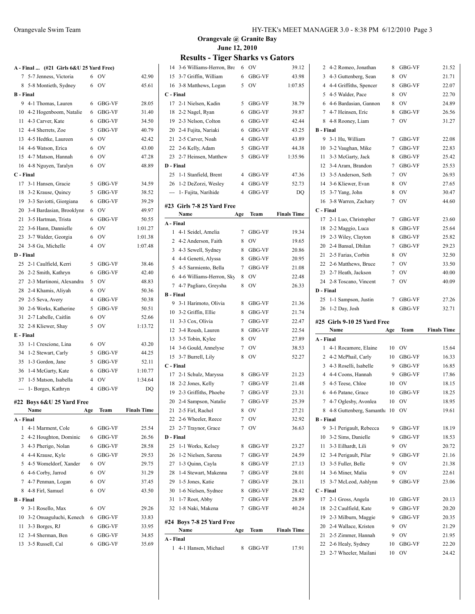| A - Final  (#21 Girls 6&U 25 Yard Free)<br>5-7 Jenness, Victoria<br>7 | 6              | OV               | 42.90              |
|-----------------------------------------------------------------------|----------------|------------------|--------------------|
| 5-8 Montieth, Sydney<br>8                                             | 6              | OV               | 45.61              |
| <b>B</b> - Final                                                      |                |                  |                    |
| 9 4-1 Thomas, Lauren                                                  | 6              | GBG-VF           | 28.05              |
| 10 4-2 Hogenboom, Natalie                                             | 6              | GBG-VF           | 31.40              |
| 11 4-3 Carver, Kate                                                   | 6              | GBG-VF           | 34.50              |
| 12 4-4 Sherrets, Zoe                                                  | 5              | GBG-VF           | 40.79              |
| 13 4-5 Hedtke, Laureen                                                | 6              | OV               | 42.42              |
| 14 4-6 Watson, Erica                                                  | 6              | <b>OV</b>        | 43.00              |
| 15 4-7 Matson, Hannah                                                 | 6              | <b>OV</b>        | 47.28              |
| 16 4-8 Nguyen, Taralyn                                                | 6              | OV               | 48.89              |
| C - Final                                                             |                |                  |                    |
| 3-1 Hansen, Gracie<br>17                                              | 5              | GBG-VF           | 34.59              |
| 3-2 Krause, Quincy<br>18                                              | 5              | GBG-VF           | 38.52              |
| 3-3 Saviotti, Giorgiana<br>19                                         | 6              | GBG-VF           | 39.29              |
| 20 3-4 Bardasian, Brooklynn                                           | 6              | O <sub>V</sub>   | 49.97              |
| 21 3-5 Hartman, Trista                                                | 6              | GBG-VF           | 50.55              |
| 22 3-6 Hann, Dannielle                                                | 6              | <b>OV</b>        | 1:01.27            |
| 23 3-7 Walder, Georgia                                                | 6              | <b>OV</b>        | 1:01.38            |
| 24 3-8 Gu, Michelle                                                   | 4              | OV               | 1:07.48            |
| D - Final                                                             |                |                  |                    |
| 25 2-1 Caulfield, Kerri                                               | 5              | GBG-VF           | 38.46              |
| 26 2-2 Smith, Kathryn                                                 | 6              | GBG-VF           | 42.40              |
| 2-3 Martinoni, Alexandra<br>27                                        | 5              | <b>OV</b>        | 48.83              |
| 2-4 Khamis, Aliyah<br>28                                              | 6              | OV               | 50.36              |
| 2-5 Seva, Avery<br>29                                                 | 4              |                  | 50.38              |
| 2-6 Works, Katherine<br>30                                            | 5              | GBG-VF<br>GBG-VF | 50.51              |
| 2-7 Labelle, Caitlin<br>31                                            | 6              | OV               | 52.66              |
|                                                                       | 5              | OV               | 1:13.72            |
| 32 2-8 Kliewer, Shay<br>E - Final                                     |                |                  |                    |
| 33                                                                    |                | <b>OV</b>        |                    |
| 1-1 Crescione, Lina                                                   | 6              |                  | 43.20              |
| 34 1-2 Stewart, Carly<br>1-3 Gordon, Jane                             | 5<br>5         | GBG-VF           | 44.25              |
| 35                                                                    |                | GBG-VF           | 52.11              |
| 36 1-4 McGarty, Kate                                                  | 6              | GBG-VF           | 1:10.77<br>1:34.64 |
| 37 1-5 Matson, Isabella                                               | 4              | OV               |                    |
| --- 1- Borges, Kathryn                                                | $\overline{4}$ | GBG-VF           | DO                 |
| #22 Boys 6&U 25 Yard Free                                             |                |                  |                    |
| Name                                                                  | Age            | Team             | <b>Finals Time</b> |
| A - Final                                                             |                |                  |                    |
| 4-1 Marment, Cole<br>1                                                | 6              | GBG-VF           | 25.54              |
| 4-2 Houghton, Dominic<br>$\overline{2}$                               | 6              | GBG-VF           | 26.56              |
| 4-3 Pherigo, Nolan<br>3                                               | 6              | GBG-VF           | 28.58              |
| 4 4-4 Krause, Kyle                                                    | 6              | GBG-VF           | 29.53              |
|                                                                       | 6              | <b>OV</b>        | 29.75              |
| 4-5 Womeldorf, Xander<br>5                                            |                |                  |                    |
| 6 4-6 Corby, Jarrod                                                   | 6              | OV               | 31.29              |
| 7 4-7 Penman, Logan                                                   | 6              | <b>OV</b>        | 37.45              |
| 8 4-8 Firl, Samuel                                                    | 6              | OV               | 43.50              |
|                                                                       |                |                  |                    |
| <b>B</b> - Final<br>3-1 Rosello, Max<br>9.                            | 6              | OV               | 29.26              |

 3-3 Borges, RJ 6 GBG-VF 33.95 3-4 Sherman, Ben 6 GBG-VF 34.85 13 3-5 Russell, Cal 6 GBG-VF 35.69

# **Orangevale @ Granite Bay June 12, 2010**

| 14        | 3-6 Williams-Herron, Bro    | 6              | <b>OV</b> | 39.12              |
|-----------|-----------------------------|----------------|-----------|--------------------|
| 15        | 3-7 Griffin, William        | 6              | GBG-VF    | 43.98              |
| 16        | 3-8 Matthews, Logan         | 5              | OV        | 1:07.85            |
| C - Final |                             |                |           |                    |
| 17        | 2-1 Nielsen, Kadin          | 5              | GBG-VF    | 38.79              |
| 18        | 2-2 Nagel, Ryan             | 6              | GBG-VF    | 39.87              |
|           | 19 2-3 Nelson, Colton       | 6              | GBG-VF    | 42.44              |
|           | 20 2-4 Fujita, Nariaki      | 6              | GBG-VF    | 43.25              |
| 21        | 2-5 Carver, Noah            | 4              | GBG-VF    | 43.89              |
| 22        | 2-6 Kelly, Adam             | 5              | GBG-VF    | 44.38              |
| 23        | 2-7 Heinsen, Matthew        | 5              | GBG-VF    | 1:35.96            |
| D - Final |                             |                |           |                    |
| 25        | 1-1 Stanfield, Brent        | 4              | GBG-VF    | 47.36              |
|           | 26 1-2 DeZorzi, Wesley      | $\overline{4}$ | GBG-VF    | 52.73              |
|           | --- 1- Fujita, Narihide     | 4              | GBG-VF    | DQ                 |
|           |                             |                |           |                    |
|           | #23  Girls 7-8 25 Yard Free |                |           |                    |
|           | Name                        | Age            | Team      | <b>Finals Time</b> |
| A - Final |                             |                |           |                    |
| 1         | 4-1 Seidel, Amelia          | 7              | GBG-VF    | 19.34              |
|           | 2 4-2 Anderson, Faith       | 8              | OV        | 19.65              |
|           | 3 4-3 Sewell, Sydney        | 8              | GBG-VF    | 20.86              |
|           | 4 4-4 Genetti, Alyssa       | 8              | GBG-VF    | 20.95              |
|           | 5 4-5 Sarmiento, Bella      | 7              | GBG-VF    | 21.08              |
|           | 6 4-6 Williams-Herron, Sky  | 8              | OV        | 22.48              |
| 7         | 4-7 Pagliaro, Greysha       | 8              | OV        | 26.33              |
| B - Final |                             |                |           |                    |
| 9         | 3-1 Harimoto, Olivia        | 8              | GBG-VF    | 21.36              |
| 10        | 3-2 Griffin, Ellie          | 8              | GBG-VF    | 21.74              |
| 11        | 3-3 Cox, Olivia             | 7              | GBG-VF    | 22.47              |
|           | 12 3-4 Roush, Lauren        | 8              | GBG-VF    | 22.54              |
| 13        | 3-5 Tobin, Kylee            | 8              | OV        | 27.89              |
| 14        | 3-6 Gould, Annelyse         | 7              | OV        | 38.53              |
| 15        | 3-7 Burrell, Lily           | 8              | OV        | 52.27              |
| C - Final |                             |                |           |                    |
| 17        | 2-1 Schulz, Maryssa         | 8              | GBG-VF    | 21.23              |
|           | 18 2-2 Jones, Kelly         | 7              | GBG-VF    | 21.48              |
|           | 19 2-3 Griffiths, Phoebe    | 7              | GBG-VF    | 23.31              |
|           | 20 2-4 Sampson, Natalie     | 7              | GBG-VF    | 25.39              |
|           | 21 2-5 Firl, Rachel         |                | 8 OV      | 27.21              |
|           | 22 2-6 Wheeler, Reece       | 7              | OV        | 32.92              |
| 23        | 2-7 Traynor, Grace          | 7              | OV        | 36.63              |
| D - Final |                             |                |           |                    |
| 25        | 1-1 Works, Kelsey           | 8              | GBG-VF    | 23.27              |
| 26        | 1-2 Nielsen, Sarena         | 7              | GBG-VF    | 24.59              |
|           | 27 1-3 Quinn, Cayla         | 8              | GBG-VF    | 27.13              |
| 28        | 1-4 Stewart, Makenna        | 7              | GBG-VF    | 28.01              |
| 29        | 1-5 Jones, Katie            | 7              | GBG-VF    | 28.11              |
| 30        | 1-6 Nielsen, Sydnee         | 8              | GBG-VF    | 28.42              |
| 31        | 1-7 Root, Abby              | 7              | GBG-VF    | 28.89              |
| 32        | 1-8 Naki, Makena            | 7              | GBG-VF    | 40.24              |
|           |                             |                |           |                    |
|           | #24 Boys 7-8 25 Yard Free   |                |           |                    |
|           | Name                        | Age            | Team      | <b>Finals Time</b> |
| A - Final |                             |                |           |                    |
|           | 1 4-1 Hansen, Michael       |                | 8 GBG-VF  | 17.91              |

| 2                | 4-2 Romeo, Jonathan                       | 8        | GBG-VF       | 21.52              |
|------------------|-------------------------------------------|----------|--------------|--------------------|
| 3                | 4-3 Guttenberg, Sean                      | 8        | OV           | 21.71              |
| 4                | 4-4 Griffiths, Spencer                    | 8        | GBG-VF       | 22.07              |
| 5                | 4-5 Walder, Pace                          | 8        | OV           | 22.70              |
|                  | 6 4-6 Bardasian, Gannon                   | 8        | OV           | 24.89              |
|                  | 7 4-7 Heinsen, Eric                       | 8        | GBG-VF       | 26.56              |
| 8                | 4-8 Rooney, Liam                          | 7        | OV           | 31.27              |
| <b>B</b> - Final |                                           |          |              |                    |
| 9                | 3-1 Hu, William                           | 7        | GBG-VF       | 22.08              |
| 10               | 3-2 Vaughan, Mike                         | 7        | GBG-VF       | 22.83              |
| 11               | 3-3 McGarty, Jack                         | 8        | GBG-VF       | 25.42              |
| 12               | 3-4 Aram, Brandon                         | 7        | GBG-VF       | 25.53              |
| 13               | 3-5 Anderson, Seth                        | 7        | OV           | 26.93              |
| 14               | 3-6 Kliewer, Evan                         | 8        | OV           | 27.65              |
| 15               | 3-7 Yang, John                            | 8        | OV           | 30.47              |
| 16               | 3-8 Warren, Zachary                       | 7        | OV           | 44.60              |
| C - Final        |                                           |          |              |                    |
| 17               | 2-1 Luo, Christopher                      | 7        | GBG-VF       | 23.60              |
| 18               | 2-2 Maggio, Luca                          | 8        | GBG-VF       | 25.64              |
| 19               | 2-3 Wiley, Clayton                        | 8        | GBG-VF       | 25.82              |
| 20               | 2-4 Bansal, Dhilan                        | 7        | GBG-VF       | 29.23              |
| 21               | 2-5 Farias, Corbin                        | 8        | OV           | 32.50              |
| 22               | 2-6 Matthews, Bruce                       | 7        | OV           | 33.50              |
| 23               | 2-7 Heath, Jackson                        | 7        | OV           | 40.00              |
| 24               | 2-8 Toscano, Vincent                      | 7        | OV           | 40.09              |
| D - Final        |                                           |          |              |                    |
| 25               | 1-1 Sampson, Justin                       | 7        | GBG-VF       | 27.26              |
|                  |                                           |          |              |                    |
|                  |                                           |          |              |                    |
| 26               | 1-2 Day, Josh                             | 8        | GBG-VF       | 32.71              |
|                  | #25 Girls 9-10 25 Yard Free               |          |              |                    |
|                  | Name                                      | Age      | Team         | <b>Finals Time</b> |
| A - Final        |                                           |          |              |                    |
| 1                | 4-1 Rocamore, Elaine                      | 10       | OV           | 15.64              |
| 2                | 4-2 McPhail, Carly                        | 10       | GBG-VF       | 16.33              |
| 3                | 4-3 Roselli, Isabelle                     | 9        | GBG-VF       | 16.85              |
|                  | 4 4-4 Coons, Hannah                       | 9        | GBG-VF       | 17.86              |
| 5                | 4-5 Teese, Chloe                          | 10       | OV           | 18.15              |
| 6                | 4-6 Patane, Grace                         | 10       | GBG-VF       | 18.25              |
|                  | 7 4-7 Oglesby, Avonlea                    | 10       | OV           | 18.95              |
| 8                | 4-8 Guttenberg, Samantha 10 OV            |          |              | 19.61              |
| B - Final        |                                           |          |              |                    |
| 9                | 3-1 Perigault, Rebecca                    | 9        | GBG-VF       | 18.19              |
| 10               | 3-2 Sims, Danielle                        | 9        | GBG-VF       | 18.53              |
| 11               | 3-3 Eilhardt, Lili                        | 9        | OV           | 20.72              |
| 12               | 3-4 Perigault, Pilar                      | 9        | GBG-VF       | 21.16              |
| 13               | 3-5 Fuller, Belle                         | 9        | OV           | 21.38              |
| 14               | 3-6 Miner, Malia                          | 9        | OV           | 22.61              |
| 15               | 3-7 McLeod, Ashlynn                       | 9        | GBG-VF       | 23.06              |
| C - Final        |                                           |          |              |                    |
| 17               | 2-1 Gross, Angela                         | 10       | GBG-VF       | 20.13              |
| 18               | 2-2 Caulfield, Kate                       | 9        | GBG-VF       | 20.20              |
| 19               | 2-3 Milburn, Maggie                       | 9        | GBG-VF       | 20.35              |
| 20               | 2-4 Wallace, Kristen                      | 9        | OV           | 21.29              |
| 21               | 2-5 Zimmer, Hannah                        | 9        | OV           | 21.95              |
| 22<br>23         | 2-6 Healy, Sydney<br>2-7 Wheeler, Mailani | 10<br>10 | GBG-VF<br>OV | 22.20<br>24.42     |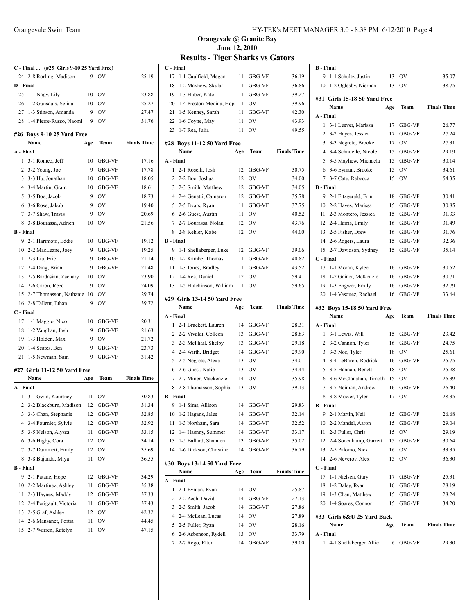| 25                      | C - Final  (#25 Girls 9-10 25 Yard Free)<br>24 2-8 Rorling, Madison | 9   |           |                    |
|-------------------------|---------------------------------------------------------------------|-----|-----------|--------------------|
|                         |                                                                     |     |           |                    |
|                         |                                                                     |     | OV        | 25.19              |
|                         | D - Final                                                           |     |           |                    |
|                         | 1-1 Nagy, Lily                                                      | 10  | <b>OV</b> | 23.88              |
|                         | 26 1-2 Gunsauls, Selina                                             | 10  | OV        | 25.27              |
|                         | 27 1-3 Stinson, Amanda                                              | 9   | <b>OV</b> | 27.47              |
|                         | 28 1-4 Pierre-Russo, Naomi                                          | 9   | OV        | 31.76              |
|                         | #26 Boys 9-10 25 Yard Free                                          |     |           |                    |
|                         | Name                                                                | Age | Team      | <b>Finals Time</b> |
|                         | A - Final                                                           |     |           |                    |
| 1                       | 3-1 Romeo, Jeff                                                     | 10  | GBG-VF    | 17.16              |
|                         | 2 3-2 Young, Joe                                                    | 9   | GBG-VF    | 17.78              |
|                         | 3 3-3 Hu, Jonathan                                                  |     | 10 GBG-VF | 18.05              |
|                         | 4 3-4 Martin, Grant                                                 |     | 10 GBG-VF | 18.61              |
|                         | 5 3-5 Boe, Jacob                                                    | 9   | <b>OV</b> | 18.73              |
|                         | 6 3-6 Rose, Jakob                                                   | 9   | <b>OV</b> | 19.40              |
|                         | 7 3-7 Shaw, Travis                                                  | 9   | <b>OV</b> | 20.69              |
| 8                       | 3-8 Bourassa, Adrien                                                | 10  | <b>OV</b> | 21.56              |
|                         | <b>B</b> - Final                                                    |     |           |                    |
|                         | 9 2-1 Harimoto, Eddie                                               |     | 10 GBG-VF | 19.12              |
|                         | 10 2-2 MacLeane, Joey                                               | 9   | GBG-VF    | 19.25              |
| 11                      | 2-3 Liu, Eric                                                       | 9   | GBG-VF    | 21.14              |
|                         | 12 2-4 Ding, Brian                                                  | 9   | GBG-VF    | 21.48              |
|                         | 13 2-5 Bardasian, Zachary                                           | 10  | OV        | 23.90              |
|                         | 14 2-6 Caron, Reed                                                  | 9   | <b>OV</b> | 24.09              |
|                         | 15 2-7 Thomasson, Nathanie                                          | 10  | OV        | 29.74              |
|                         | 16 2-8 Tallent, Ethan                                               | 9   | OV        | 39.72              |
|                         | C - Final                                                           |     |           |                    |
|                         | 17 1-1 Maggio, Nico                                                 | 10  | GBG-VF    | 20.31              |
|                         | 18 1-2 Vaughan, Josh                                                |     | 9 GBG-VF  | 21.63              |
|                         | 19 1-3 Holden, Max                                                  | 9   | <b>OV</b> | 21.72              |
|                         | 20 1-4 Scates, Ben                                                  | 9   | GBG-VF    | 23.73              |
| 21                      | 1-5 Newman, Sam                                                     | 9   | GBG-VF    | 31.42              |
|                         |                                                                     |     |           |                    |
|                         | #27 Girls 11-12 50 Yard Free                                        |     |           |                    |
|                         | Name                                                                | Age | Team      | <b>Finals Time</b> |
|                         | A - Final                                                           |     |           |                    |
|                         | 1 3-1 Gwin, Kourtney                                                | 11  | <b>OV</b> | 30.83              |
| $\overline{\mathbf{c}}$ | 3-2 Blackburn, Madison                                              | 12  | GBG-VF    | 31.34              |
| 3                       | 3-3 Chan, Stephanie                                                 | 12  | GBG-VF    | 32.85              |
| 4                       | 3-4 Fournier, Sylvie                                                | 12  | GBG-VF    | 32.92              |
| 5                       | 3-5 Nelson, Alyssa                                                  | 11  | GBG-VF    | 33.15              |
| 6                       | 3-6 Higby, Cora                                                     | 12  | ov        | 34.14              |
|                         | 3-7 Dummett, Emily                                                  | 12  | OV        | 35.69              |
| 7                       |                                                                     | 11  |           |                    |
| 8                       | 3-8 Bujanda, Miya                                                   |     | OV        | 36.55              |
|                         | <b>B</b> - Final                                                    |     |           |                    |
| 9                       | 2-1 Patane, Hope                                                    | 12  | GBG-VF    | 34.29              |
| 10                      | 2-2 Martinez, Ashley                                                | 11  | GBG-VF    | 35.38              |
| 11                      | 2-3 Haynes, Maddy                                                   | 12  | GBG-VF    | 37.33              |
| 12                      | 2-4 Perigault, Victoria                                             | 11  | GBG-VF    | 37.43              |
| 13                      | 2-5 Graf, Ashley                                                    | 12  | OV        | 42.32              |
| 14                      | 2-6 Mansanet, Portia<br>2-7 Warren, Katelyn                         | 11  | OV<br>ov  | 44.45              |

#### Orangevale Swim Team HY-TEK's MEET MANAGER 3.0 - 8:38 PM 6/12/2010 Page 4

# **Orangevale @ Granite Bay June 12, 2010**

| C - Final        |                                      |     |               |                    |
|------------------|--------------------------------------|-----|---------------|--------------------|
| 17               | 1-1 Caulfield, Megan                 | 11  | GBG-VF        | 36.19              |
| 18               | 1-2 Mayhew, Skylar                   | 11  | GBG-VF        | 36.86              |
| 19               | 1-3 Huber, Kate                      | 11  | GBG-VF        | 39.27              |
| 20               | 1-4 Preston-Medina, Hop              | 11  | <sub>OV</sub> | 39.96              |
|                  | 21 1-5 Kenney, Sarah                 | 11  | GBG-VF        | 42.30              |
| 22               | 1-6 Coyne, May                       | 11  | OV            | 43.93              |
|                  | 23 1-7 Rea, Julia                    | 11  | OV            | 49.55              |
|                  | #28 Boys 11-12 50 Yard Free          |     |               |                    |
| A - Final        | Name                                 | Age | Team          | <b>Finals Time</b> |
| 1                | 2-1 Roselli, Josh                    | 12  | GBG-VF        | 30.75              |
|                  | 2 2-2 Boe, Joshua                    | 12  | <b>OV</b>     | 34.00              |
|                  | 3 2-3 Smith, Matthew                 | 12  | GBG-VF        | 34.05              |
|                  | 4 2-4 Genetti, Cameron               | 12  | GBG-VF        | 35.78              |
|                  | 5 2-5 Byars, Ryan                    | 11  | GBG-VF        | 37.75              |
|                  | 6 2-6 Guest, Austin                  | 11  | OV            | 40.52              |
|                  | 7 2-7 Bourassa, Nolan                | 12  | <b>OV</b>     | 43.76              |
|                  | 8 2-8 Kehler, Kobe                   | 12  | OV            | 44.00              |
| B - Final        |                                      |     |               |                    |
| 9                | 1-1 Shellaberger, Luke               | 12  | GBG-VF        | 39.06              |
| 10               | 1-2 Kambe, Thomas                    | 11  | GBG-VF        | 40.82              |
| 11               | 1-3 Jones, Bradley                   | 11  | GBG-VF        | 43.52              |
| 12               | 1-4 Rea, Daniel                      | 12  | OV            | 59.41              |
| 13               | 1-5 Hutchinson, William              | 11  | OV            | 59.65              |
|                  |                                      |     |               |                    |
|                  | #29 Girls 13-14 50 Yard Free<br>Name | Age | Team          | <b>Finals Time</b> |
| A - Final        |                                      |     |               |                    |
| 1                | 2-1 Brackett, Lauren                 | 14  | GBG-VF        | 28.31              |
|                  | 2 2-2 Vivaldi, Colleen               | 13  | GBG-VF        | 28.83              |
|                  | 3 2-3 McPhail, Shelby                | 13  | GBG-VF        | 29.18              |
|                  | 4 2-4 Wirth, Bridget                 | 14  | GBG-VF        | 29.90              |
|                  | 5 2-5 Negrete, Alexa                 | 13  | OV            | 34.01              |
|                  | 6 2-6 Guest, Katie                   | 13  | <sub>OV</sub> | 34.44              |
|                  | 7 2-7 Miner, Mackenzie               | 14  | OV            | 35.98              |
|                  | 8 2-8 Thomasson, Sophia              | 13  | OV            | 39.13              |
| <b>B</b> - Final |                                      |     |               |                    |
|                  | 9 1-1 Sims, Allison                  |     | 14 GBG-VF     | 29.83              |
|                  | 10 1-2 Hagans, Jalee                 |     | 14 GBG-VF     | 32.14              |
| 11               | 1-3 Northam, Sara                    |     | 14 GBG-VF     | 32.52              |
| 12               | 1-4 Haenny, Summer                   |     | 14 GBG-VF     | 33.17              |
| 13               | 1-5 Ballard, Shannen                 | 13  | GBG-VF        | 35.02              |
| 14               | 1-6 Dickson, Christine               | 14  | GBG-VF        | 36.79              |
|                  | #30 Boys 13-14 50 Yard Free          |     |               |                    |
|                  | Name                                 | Age | Team          | <b>Finals Time</b> |
| A - Final        |                                      |     |               |                    |
| 1                | 2-1 Eyman, Ryan                      | 14  | OV            | 25.87              |
| 2                | 2-2 Zech, David                      | 14  | GBG-VF        | 27.13              |
| 3                | 2-3 Smith, Jacob                     | 14  | GBG-VF        | 27.86              |
| 4                | 2-4 McLean, Lucas                    | 14  | OV            | 27.89              |
| 5                | 2-5 Fuller, Ryan                     | 14  | <b>OV</b>     | 28.16              |
|                  |                                      |     |               |                    |
|                  | 6 2-6 Asbenson, Rydell               | 13  | OV            | 33.79              |

| <b>B</b> - Final |                                      |     |                |                    |
|------------------|--------------------------------------|-----|----------------|--------------------|
| 9                | 1-1 Schultz, Justin                  | 13  | OV             | 35.07              |
| 10               | 1-2 Oglesby, Kiernan                 | 13  | OV             | 38.75              |
|                  |                                      |     |                |                    |
|                  | #31 Girls 15-18 50 Yard Free<br>Name | Age | Team           | <b>Finals Time</b> |
| A - Final        |                                      |     |                |                    |
| 1                | 3-1 Leever, Marissa                  | 17  | GBG-VF         | 26.77              |
| 2                | 3-2 Hayes, Jessica                   | 17  | GBG-VF         | 27.24              |
| 3                | 3-3 Negrete, Brooke                  | 17  | O <sub>V</sub> | 27.31              |
| 4                | 3-4 Schnuelle, Nicole                | 15  | GBG-VF         | 29.19              |
| 5                | 3-5 Mayhew, Michaela                 | 15  | GBG-VF         | 30.14              |
| 6                | 3-6 Eyman, Brooke                    | 15  | OV             | 34.61              |
| 7                | 3-7 Cate, Rebecca                    | 15  | OV             | 54.35              |
| <b>B</b> - Final |                                      |     |                |                    |
| 9                | 2-1 Fitzgerald, Erin                 | 18  | GBG-VF         | 30.41              |
| 10               | 2-2 Hayes, Marissa                   | 15  | GBG-VF         | 30.85              |
| 11               | 2-3 Montero, Jessica                 | 15  | GBG-VF         | 31.33              |
| 12               | 2-4 Harris, Emily                    | 16  | GBG-VF         | 31.49              |
| 13               | 2-5 Fisher, Drew                     | 16  | GBG-VF         | 31.76              |
| 14               | 2-6 Rogers, Laura                    | 15  | GBG-VF         | 32.36              |
| 15               | 2-7 Davidson, Sydney                 | 15  | GBG-VF         | 35.14              |
| C - Final        |                                      |     |                |                    |
| 17               | 1-1 Moran, Kylee                     | 16  | GBG-VF         | 30.52              |
| 18               | 1-2 Gainer, McKenzie                 | 16  | GBG-VF         | 30.71              |
| 19               | 1-3 Engwer, Emily                    | 16  | GBG-VF         | 32.79              |
| 20               | 1-4 Vasquez, Rachael                 | 16  | GBG-VF         | 33.64              |
|                  |                                      |     |                |                    |
|                  |                                      |     |                |                    |
|                  | #32 Boys 15-18 50 Yard Free          |     |                |                    |
|                  | Name                                 | Age | Team           | <b>Finals Time</b> |
| A - Final        |                                      |     |                |                    |
| 1                | 3-1 Lewis, Will                      | 15  | GBG-VF         | 23.42              |
| 2                | 3-2 Cannon, Tyler                    | 16  | GBG-VF         | 24.75              |
| 3                | 3-3 Noe, Tyler                       | 18  | OV             | 25.61              |
| 4                | 3-4 LeBaron, Rodrick                 | 16  | GBG-VF         | 25.75              |
| 5                | 3-5 Hannan, Benett                   | 18  | <b>OV</b>      | 25.98              |
| 6                | 3-6 McClanahan, Timoth 15            |     | OV             | 26.39              |
| 7                | 3-7 Neiman, Andrew                   | 16  | GBG-VF         | 26.40              |
| 8                | 3-8 Mower, Tyler                     | 17  | OV             | 28.35              |
| <b>B</b> - Final |                                      |     |                |                    |
| 9                | 2-1 Martin, Neil                     | 15  | GBG-VF         | 26.68              |
| 10               | 2-2 Mandel, Aaron                    | 15  | GBG-VF         | 29.04              |
| 11               | 2-3 Fuller, Chris                    | 15  | OV             | 29.19              |
| 12               | 2-4 Sodenkamp, Garrett               | 15  | GBG-VF         | 30.64              |
| 13               | 2-5 Palomo, Nick                     | 16  | OV             | 33.35              |
| 14               | 2-6 Neverov, Alex                    | 15  | OV             | 36.30              |
| C - Final        |                                      |     |                |                    |
| 17               | 1-1 Nielsen, Gary                    | 17  | GBG-VF         | 25.31              |
| 18               | 1-2 Daley, Ryan                      | 16  | GBG-VF         | 28.19              |
| 19               | 1-3 Chan, Matthew                    | 15  | GBG-VF         | 28.24              |
| 20               | 1-4 Soares, Connor                   | 15  | GBG-VF         | 34.20              |
|                  | #33 Girls 6&U 25 Yard Back           |     |                |                    |
|                  | Name                                 | Age | Team           | <b>Finals Time</b> |
| A - Final<br>1   | 4-1 Shellaberger, Allie              | 6   | GBG-VF         | 29.30              |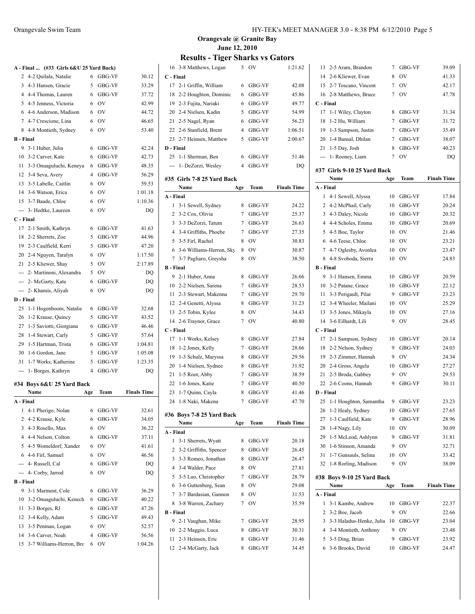|                  | A - Final  (#33 Girls 6&U 25 Yard Back) |     |               |                    |
|------------------|-----------------------------------------|-----|---------------|--------------------|
| 2                | 4-2 Quilala, Natalie                    | 6   | <b>GBG-VF</b> | 30.12              |
| 3                | 4-3 Hansen, Gracie                      | 5   | GBG-VF        | 33.29              |
|                  | 4 4-4 Thomas, Lauren                    | 6   | GBG-VF        | 37.72              |
| 5                | 4-5 Jenness, Victoria                   | 6   | <b>OV</b>     | 42.99              |
| 6                | 4-6 Anderson, Madison                   | 6   | <b>OV</b>     | 44.72              |
|                  | 7 4-7 Crescione, Lina                   | 6   | <b>OV</b>     | 46.65              |
| 8                | 4-8 Montieth, Sydney                    | 6   | OV            | 53.40              |
| <b>B</b> - Final |                                         |     |               |                    |
| 9                | 3-1 Huber, Julia                        | 6   | GBG-VF        | 42.24              |
|                  | 10 3-2 Carver, Kate                     | 6   | GBG-VF        | 42.73              |
| 11               | 3-3 Onuaguluchi, Keneya                 | 6   | GBG-VF        | 48.35              |
|                  | 12 3-4 Seva, Avery                      | 4   | GBG-VF        | 56.29              |
| 13               | 3-5 Labelle, Caitlin                    | 6   | <b>OV</b>     | 59.53              |
| 14               | 3-6 Watson, Erica                       | 6   | <b>OV</b>     | 1:01.18            |
| 15               | 3-7 Baade, Chloe                        | 6   | OV            | 1:10.36            |
|                  | --- 3- Hedtke, Laureen                  | 6   | OV            | DQ                 |
| C - Final        |                                         |     |               |                    |
| 17               | 2-1 Smith, Kathryn                      | 6   | GBG-VF        | 41.63              |
|                  | 18 2-2 Sherrets, Zoe                    | 5   | GBG-VF        | 44.96              |
|                  | 19 2-3 Caulfield, Kerri                 | 5   | GBG-VF        | 47.20              |
|                  | 20 2-4 Nguyen, Taralyn                  | 6   | <b>OV</b>     | 1:17.50            |
|                  | 21 2-5 Kliewer, Shay                    | 5.  | <b>OV</b>     | 2:17.89            |
|                  | --- 2- Martinoni, Alexandra             | 5   | <b>OV</b>     | DO                 |
| ---              | 2- McGarty, Kate                        | 6   | GBG-VF        | D <sub>O</sub>     |
| ---              | 2- Khamis, Aliyah                       | 6   | OV            | DQ                 |
| D - Final        |                                         |     |               |                    |
| 25               | 1-1 Hogenboom, Natalie                  | 6   | GBG-VF        | 32.68              |
| 26               | 1-2 Krause, Quincy                      | 5   | GBG-VF        | 43.52              |
| 27               | 1-3 Saviotti, Giorgiana                 | 6   | GBG-VF        | 46.46              |
| 28               | 1-4 Stewart, Carly                      | 5   | GBG-VF        | 57.64              |
| 29               | 1-5 Hartman, Trista                     | 6   | GBG-VF        | 1:04.81            |
| 30               |                                         | 5   |               | 1:05.08            |
|                  | 1-6 Gordon, Jane                        | 5   | GBG-VF        | 1:23.35            |
|                  | 31 1-7 Works, Katherine                 |     | GBG-VF        |                    |
| $\overline{a}$   | 1- Borges, Kathryn                      | 4   | GBG-VF        | DQ                 |
|                  | #34 Boys 6&U 25 Yard Back               |     |               |                    |
|                  | Name                                    | Age | Team          | <b>Finals Time</b> |
| A - Final        |                                         |     |               |                    |
|                  | 1 4-1 Pherigo, Nolan                    |     | 6 GBG-VF      | 32.61              |
|                  | 2 4-2 Krause, Kyle                      | 6   | GBG-VF        | 34.05              |
| 3                | 4-3 Rosello, Max                        | 6   | OV            | 36.22              |
|                  | 4 4-4 Nelson, Colton                    | 6   | GBG-VF        | 37.11              |
| 5                | 4-5 Womeldorf, Xander                   | 6   | 0V            | 41.61              |
|                  | 6 4-6 Firl, Samuel                      | 6   | OV            | 46.56              |
|                  | --- 4- Russell, Cal                     | 6   | GBG-VF        | DQ                 |
|                  | 4- Corby, Jarrod                        | 6   | OV            | DQ                 |
| <b>B</b> - Final |                                         |     |               |                    |
| 9                | 3-1 Marment, Cole                       | 6   | GBG-VF        | 36.29              |
| 10               | 3-2 Onuaguluchi, Kenech                 | 6   | GBG-VF        | 40.22              |
| 11               | 3-3 Borges, RJ                          | 6   | GBG-VF        | 47.26              |
|                  | 12 3-4 Kelly, Adam                      | 5   | GBG-VF        | 49.43              |
| 13               | 3-5 Penman, Logan                       | 6   | OV            | 52.57              |
|                  | 14 3-6 Carver, Noah                     | 4   | GBG-VF        | 56.56              |
|                  | 15 3-7 Williams-Herron, Brc 6 OV        |     |               | 1:04.26            |

| 16                         | 3-8 Matthews, Logan               | 5   | OV     | 1:21.62            |  |  |  |  |  |  |
|----------------------------|-----------------------------------|-----|--------|--------------------|--|--|--|--|--|--|
| C - Final                  |                                   |     |        |                    |  |  |  |  |  |  |
| 17                         | 2-1 Griffin, William              | 6   | GBG-VF | 42.08              |  |  |  |  |  |  |
| 18                         | 2-2 Houghton, Dominic             | 6   | GBG-VF | 45.86              |  |  |  |  |  |  |
| 19                         | 2-3 Fujita, Nariaki               | 6   | GBG-VF | 49.77              |  |  |  |  |  |  |
| 20                         | 2-4 Nielsen, Kadin                | 5   | GBG-VF | 54.99              |  |  |  |  |  |  |
| 21                         | 2-5 Nagel, Ryan                   | 6   | GBG-VF | 56.23              |  |  |  |  |  |  |
|                            | 22 2-6 Stanfield, Brent           | 4   | GBG-VF | 1:06.51            |  |  |  |  |  |  |
|                            | 23 2-7 Heinsen, Matthew           | 5   | GBG-VF | 2:00.67            |  |  |  |  |  |  |
| D - Final                  |                                   |     |        |                    |  |  |  |  |  |  |
| 25                         | 1-1 Sherman, Ben                  | 6   | GBG-VF | 51.46              |  |  |  |  |  |  |
| ---                        | 1- DeZorzi, Wesley                | 4   | GBG-VF | DO                 |  |  |  |  |  |  |
|                            |                                   |     |        |                    |  |  |  |  |  |  |
| #35 Girls 7-8 25 Yard Back |                                   |     |        |                    |  |  |  |  |  |  |
|                            | Name                              | Age | Team   | <b>Finals Time</b> |  |  |  |  |  |  |
| A - Final                  |                                   |     |        |                    |  |  |  |  |  |  |
| 1                          | 3-1 Sewell, Sydney                | 8   | GBG-VF | 24.22              |  |  |  |  |  |  |
| 2                          | 3-2 Cox, Olivia                   | 7   | GBG-VF | 25.37              |  |  |  |  |  |  |
| 3                          | 3-3 DeZorzi, Tatum                | 7   | GBG-VF | 26.63              |  |  |  |  |  |  |
| 4                          | 3-4 Griffiths, Phoebe             | 7   | GBG-VF | 27.35              |  |  |  |  |  |  |
| 5                          | 3-5 Firl, Rachel                  | 8   | OV     | 30.83              |  |  |  |  |  |  |
| 6                          | 3-6 Williams-Herron, Sky          | 8   | OV     | 30.87              |  |  |  |  |  |  |
| 7                          | 3-7 Pagliaro, Greysha             | 8   | OV     | 38.50              |  |  |  |  |  |  |
| B - Final                  |                                   |     |        |                    |  |  |  |  |  |  |
| 9                          | 2-1 Huber, Anna                   | 8   | GBG-VF | 26.66              |  |  |  |  |  |  |
| 10                         | 2-2 Nielsen, Sarena               | 7   | GBG-VF | 28.53              |  |  |  |  |  |  |
| 11                         | 2-3 Stewart, Makenna              | 7   | GBG-VF | 29.70              |  |  |  |  |  |  |
| 12                         | 2-4 Genetti, Alyssa               | 8   | GBG-VF | 31.23              |  |  |  |  |  |  |
| 13                         | 2-5 Tobin, Kylee                  | 8   | OV     | 34.43              |  |  |  |  |  |  |
| 14                         | 2-6 Traynor, Grace                | 7   | OV     | 40.80              |  |  |  |  |  |  |
| C - Final                  |                                   |     |        |                    |  |  |  |  |  |  |
| 17                         | 1-1 Works, Kelsey                 | 8   | GBG-VF | 27.84              |  |  |  |  |  |  |
| 18                         | 1-2 Jones, Kelly                  | 7   | GBG-VF | 28.66              |  |  |  |  |  |  |
| 19                         | 1-3 Schulz, Maryssa               | 8   | GBG-VF | 29.56              |  |  |  |  |  |  |
| 20                         | 1-4 Nielsen, Sydnee               | 8   | GBG-VF | 31.92              |  |  |  |  |  |  |
| 21                         | 1-5 Root, Abby                    | 7   | GBG-VF | 38.59              |  |  |  |  |  |  |
| 22                         | 1-6 Jones, Katie                  | 7   | GBG-VF | 40.50              |  |  |  |  |  |  |
| 23                         | 1-7 Quinn, Cayla                  | 8   | GBG-VF | 41.46              |  |  |  |  |  |  |
| 24                         | 1-8 Naki, Makena                  | 7   | GBG-VF | 47.70              |  |  |  |  |  |  |
|                            |                                   |     |        |                    |  |  |  |  |  |  |
|                            | #36 Boys 7-8 25 Yard Back<br>Name | Age | Team   | <b>Finals Time</b> |  |  |  |  |  |  |
| A - Final                  |                                   |     |        |                    |  |  |  |  |  |  |
| 1                          | 3-1 Sherrets, Wyatt               | 8   | GBG-VF | 20.18              |  |  |  |  |  |  |
| 2                          | 3-2 Griffiths, Spencer            | 8   | GBG-VF | 26.45              |  |  |  |  |  |  |
| 3                          | 3-3 Romeo, Jonathan               | 8   | GBG-VF | 26.47              |  |  |  |  |  |  |
| 4                          | 3-4 Walder, Pace                  | 8   | OV     | 27.81              |  |  |  |  |  |  |
| 5                          | 3-5 Luo, Christopher              | 7   | GBG-VF | 28.79              |  |  |  |  |  |  |
| 6                          | 3-6 Guttenberg, Sean              | 8   | OV     | 29.08              |  |  |  |  |  |  |
| 7                          | 3-7 Bardasian, Gannon             | 8   | OV     | 31.53              |  |  |  |  |  |  |
| 8                          | 3-8 Warren, Zachary               | 7   | OV     | 35.59              |  |  |  |  |  |  |
|                            |                                   |     |        |                    |  |  |  |  |  |  |
| <b>B</b> - Final<br>9      |                                   |     |        |                    |  |  |  |  |  |  |
|                            | 2-1 Vaughan, Mike                 | 7   | GBG-VF | 28.95              |  |  |  |  |  |  |
| 10                         | 2-2 Maggio, Luca                  | 8   | GBG-VF | 30.31              |  |  |  |  |  |  |
| 11                         | 2-3 Heinsen, Eric                 | 8   | GBG-VF | 31.46              |  |  |  |  |  |  |
| 12                         | 2-4 McGarty, Jack                 | 8   | GBG-VF | 34.45              |  |  |  |  |  |  |

|                                           | 13 2-5 Aram, Brandon                            | 7               | GBG-VF           | 39.09              |  |  |  |  |  |
|-------------------------------------------|-------------------------------------------------|-----------------|------------------|--------------------|--|--|--|--|--|
|                                           | 14 2-6 Kliewer, Evan                            | 8               | OV               | 41.33              |  |  |  |  |  |
|                                           | 15 2-7 Toscano, Vincent                         | $\tau$          | OV               | 42.17              |  |  |  |  |  |
|                                           | 16 2-8 Matthews, Bruce                          | 7               | OV               | 47.78              |  |  |  |  |  |
| C - Final                                 |                                                 |                 |                  |                    |  |  |  |  |  |
| 17                                        | 1-1 Wiley, Clayton                              | 8               | GBG-VF           | 31.34              |  |  |  |  |  |
| 18                                        | 1-2 Hu, William                                 | 7               | GBG-VF           | 31.72              |  |  |  |  |  |
|                                           |                                                 | $7^{\circ}$     | GBG-VF           | 35.49              |  |  |  |  |  |
|                                           | 19 1-3 Sampson, Justin<br>20 1-4 Bansal, Dhilan | $7\phantom{.0}$ | GBG-VF           | 38.07              |  |  |  |  |  |
|                                           |                                                 | 8               | GBG-VF           | 40.23              |  |  |  |  |  |
|                                           | 21 1-5 Day, Josh                                |                 |                  | DQ                 |  |  |  |  |  |
| 7<br>OV<br>--- 1- Rooney, Liam            |                                                 |                 |                  |                    |  |  |  |  |  |
| #37 Girls 9-10 25 Yard Back               |                                                 |                 |                  |                    |  |  |  |  |  |
| <b>Finals Time</b><br>Team<br>Name<br>Age |                                                 |                 |                  |                    |  |  |  |  |  |
| A - Final                                 |                                                 |                 |                  |                    |  |  |  |  |  |
| 1                                         | 4-1 Sewell, Alyssa                              | 10              | GBG-VF           | 17.84              |  |  |  |  |  |
|                                           | 2 4-2 McPhail, Carly                            | 10              | GBG-VF           | 20.24              |  |  |  |  |  |
|                                           | 3 4-3 Daley, Nicole                             | 10              | GBG-VF           | 20.32              |  |  |  |  |  |
|                                           | 4 4-4 Scholes, Emma                             | 10              | GBG-VF           | 20.69              |  |  |  |  |  |
|                                           | 5 4-5 Boe, Taylor                               | 10              | <b>OV</b>        | 21.46              |  |  |  |  |  |
|                                           | 6 4-6 Teese, Chloe                              | 10              | OV               | 23.21              |  |  |  |  |  |
|                                           | 7 4-7 Oglesby, Avonlea                          | 10              | OV               | 23.47              |  |  |  |  |  |
| 8                                         | 4-8 Svoboda, Sierra                             | 10              | OV               | 24.83              |  |  |  |  |  |
| <b>B</b> - Final                          |                                                 |                 |                  |                    |  |  |  |  |  |
|                                           | 9 3-1 Hansen, Emma                              | 10              | GBG-VF           | 20.59              |  |  |  |  |  |
|                                           | 10 3-2 Patane, Grace                            | 10              | GBG-VF           | 22.12              |  |  |  |  |  |
| 11                                        | 3-3 Perigault, Pilar                            | 9               | GBG-VF           | 23.23              |  |  |  |  |  |
|                                           | 12 3-4 Wheeler, Mailani                         | 10              | <b>OV</b>        | 25.29              |  |  |  |  |  |
| 13                                        | 3-5 Jones, Mikayla                              | 10              | <b>OV</b>        | 27.16              |  |  |  |  |  |
|                                           | 14 3-6 Eilhardt, Lili                           | 9               | OV               | 28.45              |  |  |  |  |  |
| C - Final                                 |                                                 |                 |                  |                    |  |  |  |  |  |
| 17                                        | 2-1 Sampson, Sydney                             | 10              | GBG-VF           | 20.14              |  |  |  |  |  |
|                                           | 18 2-2 Nelson, Sydney                           | 9               | GBG-VF           | 24.03              |  |  |  |  |  |
|                                           | 19 2-3 Zimmer, Hannah                           | 9               | OV               | 24.34              |  |  |  |  |  |
|                                           | 20 2-4 Gross, Angela                            | 10              | GBG-VF           | 27.27              |  |  |  |  |  |
|                                           | 21 2-5 Broda, Gabbey                            | 9               | OV               | 29.53              |  |  |  |  |  |
|                                           | 22 2-6 Coons, Hannah                            | 9               | GBG-VF           | 30.11              |  |  |  |  |  |
| D - Final                                 |                                                 |                 |                  |                    |  |  |  |  |  |
| 25                                        | 1-1 Houghton, Samantha                          |                 | 9 GBG-VF         | 23.23              |  |  |  |  |  |
|                                           | 26 1-2 Healy, Sydney                            |                 | 10 GBG-VF        | 27.65              |  |  |  |  |  |
| 27                                        | 1-3 Caulfield, Kate                             | 9               | GBG-VF           | 28.96              |  |  |  |  |  |
| 28                                        | 1-4 Nagy, Lily                                  | 10              | OV               | 30.09              |  |  |  |  |  |
| 29                                        | 1-5 McLeod, Ashlynn                             | 9               | GBG-VF           | 31.81              |  |  |  |  |  |
| 30                                        | 1-6 Stinson, Amanda                             | 9               | OV               | 32.71              |  |  |  |  |  |
| 31                                        | 1-7 Gunsauls, Selina                            | 10              | OV               | 33.42              |  |  |  |  |  |
| 32                                        | 1-8 Rorling, Madison                            | 9               | ov               | 38.09              |  |  |  |  |  |
|                                           |                                                 |                 |                  |                    |  |  |  |  |  |
|                                           | #38 Boys 9-10 25 Yard Back                      |                 |                  |                    |  |  |  |  |  |
| A - Final                                 | Name                                            | Age             | Team             | <b>Finals Time</b> |  |  |  |  |  |
| 1                                         |                                                 |                 |                  |                    |  |  |  |  |  |
| 2                                         | 3-1 Kambe, Andrew                               | 10<br>9         | GBG-VF<br>OV     | 22.37              |  |  |  |  |  |
| 3                                         | 3-2 Boe, Jacob<br>3-3 Haladus-Henke, Julia      | 10              | GBG-VF           | 22.66<br>23.04     |  |  |  |  |  |
| 4                                         | 3-4 Montieth, Anthony                           | 9               | OV               | 23.48              |  |  |  |  |  |
| 5                                         |                                                 | 9               |                  |                    |  |  |  |  |  |
|                                           | 3-5 Ding, Brian<br>6 3-6 Brooks, David          | 10              | GBG-VF<br>GBG-VF | 23.92<br>24.47     |  |  |  |  |  |
|                                           |                                                 |                 |                  |                    |  |  |  |  |  |
|                                           |                                                 |                 |                  |                    |  |  |  |  |  |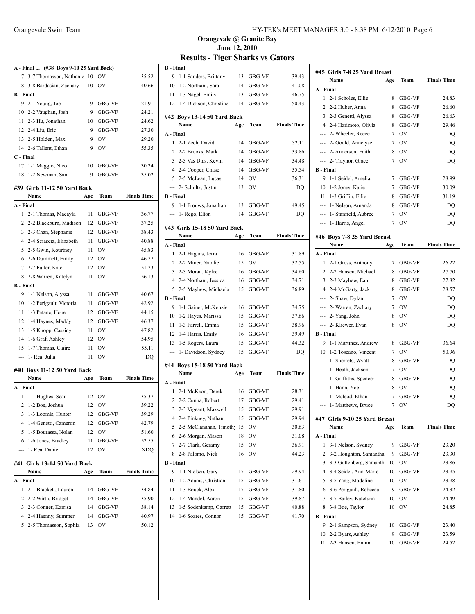|                                                 | A - Final  (#38 Boys 9-10 25 Yard Back) |     |           |                    |  |  |  |  |  |
|-------------------------------------------------|-----------------------------------------|-----|-----------|--------------------|--|--|--|--|--|
| 3-7 Thomasson, Nathanie 10<br>OV<br>35.52<br>7  |                                         |     |           |                    |  |  |  |  |  |
| 8.                                              | 3-8 Bardasian, Zachary                  | 10  | OV        | 40.66              |  |  |  |  |  |
| <b>B</b> - Final                                |                                         |     |           |                    |  |  |  |  |  |
|                                                 | 9 2-1 Young, Joe                        | 9   | GBG-VF    | 21.91              |  |  |  |  |  |
|                                                 | 10 2-2 Vaughan, Josh                    | 9   | GBG-VF    | 24.21              |  |  |  |  |  |
|                                                 | 11 2-3 Hu, Jonathan                     | 10  | GBG-VF    | 24.62              |  |  |  |  |  |
|                                                 | 12 2-4 Liu, Eric                        | 9   | GBG-VF    | 27.30              |  |  |  |  |  |
|                                                 | 13 2-5 Holden, Max                      | 9   | OV        | 29.20              |  |  |  |  |  |
|                                                 | 14 2-6 Tallent, Ethan                   | 9   | OV        | 55.35              |  |  |  |  |  |
| C - Final                                       |                                         |     |           |                    |  |  |  |  |  |
| 30.24<br>17<br>1-1 Maggio, Nico<br>10<br>GBG-VF |                                         |     |           |                    |  |  |  |  |  |
| 18                                              | 1-2 Newman, Sam                         | 9   | GBG-VF    | 35.02              |  |  |  |  |  |
|                                                 |                                         |     |           |                    |  |  |  |  |  |
|                                                 | #39 Girls 11-12 50 Yard Back            |     |           |                    |  |  |  |  |  |
|                                                 | Name                                    | Age | Team      | <b>Finals Time</b> |  |  |  |  |  |
| A - Final                                       |                                         |     |           |                    |  |  |  |  |  |
| 1                                               | 2-1 Thomas, Macayla                     | 11  | GBG-VF    | 36.77              |  |  |  |  |  |
| 2                                               | 2-2 Blackburn, Madison                  | 12  | GBG-VF    | 37.25              |  |  |  |  |  |
| 3                                               | 2-3 Chan, Stephanie                     | 12  | GBG-VF    | 38.43              |  |  |  |  |  |
|                                                 | 4 2-4 Sciascia, Elizabeth               | 11  | GBG-VF    | 40.88              |  |  |  |  |  |
| 5                                               | 2-5 Gwin, Kourtney                      | 11  | <b>OV</b> | 45.83              |  |  |  |  |  |
|                                                 | 6 2-6 Dummett, Emily                    | 12  | <b>OV</b> | 46.22              |  |  |  |  |  |
| 7                                               | 2-7 Fuller, Kate                        | 12  | OV        | 51.23              |  |  |  |  |  |
| 8                                               | 2-8 Warren, Katelyn                     | 11  | OV        | 56.13              |  |  |  |  |  |
| <b>B</b> - Final                                |                                         |     |           |                    |  |  |  |  |  |
| 9                                               | 1-1 Nelson, Alyssa                      | 11  | GBG-VF    | 40.67              |  |  |  |  |  |
| 10                                              | 1-2 Perigault, Victoria                 | 11  | GBG-VF    | 42.92              |  |  |  |  |  |
| 11                                              | 1-3 Patane, Hope                        | 12  | GBG-VF    | 44.15              |  |  |  |  |  |
| 12                                              | 1-4 Haynes, Maddy                       | 12  | GBG-VF    | 46.37              |  |  |  |  |  |
| 13                                              | 1-5 Knopp, Cassidy                      | 11  | <b>OV</b> | 47.82              |  |  |  |  |  |
| 14                                              | 1-6 Graf, Ashley                        | 12  | <b>OV</b> | 54.95              |  |  |  |  |  |
| 15                                              | 1-7 Thomas, Claire                      | 11  | OV        | 55.11              |  |  |  |  |  |
| ---                                             | 1- Rea, Julia                           | 11  | ov        | DQ                 |  |  |  |  |  |
|                                                 | #40 Boys 11-12 50 Yard Back             |     |           |                    |  |  |  |  |  |
|                                                 | Name                                    | Age | Team      | <b>Finals Time</b> |  |  |  |  |  |
| A - Final                                       |                                         |     |           |                    |  |  |  |  |  |
| 1                                               | 1-1 Hughes, Sean                        |     | 12 OV     | 35.37              |  |  |  |  |  |
|                                                 | 2 1-2 Boe, Joshua                       |     | 12 OV     | 39.22              |  |  |  |  |  |
| 3                                               | 1-3 Loomis, Hunter                      | 12  | GBG-VF    | 39.29              |  |  |  |  |  |
| 4                                               | 1-4 Genetti, Cameron                    | 12  | GBG-VF    | 42.79              |  |  |  |  |  |
| 5                                               | 1-5 Bourassa, Nolan                     | 12  | OV        | 51.60              |  |  |  |  |  |
| 6                                               | 1-6 Jones, Bradley                      | 11  | GBG-VF    | 52.55              |  |  |  |  |  |
| ---                                             | 1- Rea, Daniel                          | 12  | OV        | <b>XDQ</b>         |  |  |  |  |  |
|                                                 | #41 Girls 13-14 50 Yard Back            |     |           |                    |  |  |  |  |  |
|                                                 | Name                                    | Age | Team      | <b>Finals Time</b> |  |  |  |  |  |
| A - Final                                       |                                         |     |           |                    |  |  |  |  |  |
| 1                                               | 2-1 Brackett, Lauren                    | 14  | GBG-VF    | 34.84              |  |  |  |  |  |
| 2                                               | 2-2 Wirth, Bridget                      | 14  | GBG-VF    | 35.90              |  |  |  |  |  |
| 3                                               | 2-3 Conner, Karrisa                     | 14  | GBG-VF    | 38.14              |  |  |  |  |  |
| 4                                               | 2-4 Haenny, Summer                      | 14  | GBG-VF    | 40.97              |  |  |  |  |  |
| 5                                               | 2-5 Thomasson, Sophia                   | 13  | OV        | 50.12              |  |  |  |  |  |
|                                                 |                                         |     |           |                    |  |  |  |  |  |

| <b>B</b> - Final |                              |     |           |                    |
|------------------|------------------------------|-----|-----------|--------------------|
| 9                | 1-1 Sanders, Brittany        | 13  | GBG-VF    | 39.43              |
|                  | 10 1-2 Northam, Sara         | 14  | GBG-VF    | 41.08              |
|                  | 11 1-3 Nagel, Emily          | 13  | GBG-VF    | 46.75              |
| 12               | 1-4 Dickson, Christine       | 14  | GBG-VF    | 50.43              |
|                  | #42 Boys 13-14 50 Yard Back  |     |           |                    |
|                  | Name                         | Age | Team      | <b>Finals Time</b> |
| A - Final        |                              |     |           |                    |
| $\mathbf{1}$     | 2-1 Zech, David              | 14  | GBG-VF    | 32.11              |
|                  | 2 2-2 Brooks, Mark           | 14  | GBG-VF    | 33.86              |
|                  | 3 2-3 Vas Dias, Kevin        | 14  | GBG-VF    | 34.48              |
|                  | 4 2-4 Cooper, Chase          | 14  | GBG-VF    | 35.54              |
|                  | 5 2-5 McLean, Lucas          | 14  | OV        | 36.31              |
| ---              | 2- Schultz, Justin           | 13  | OV        | DQ                 |
| <b>B</b> - Final |                              |     |           |                    |
| 9                | 1-1 Frouws, Jonathan         | 13  | GBG-VF    | 49.45              |
| ---              | 1- Rego, Elton               | 14  | GBG-VF    | DQ                 |
|                  | #43 Girls 15-18 50 Yard Back |     |           |                    |
|                  | Name                         | Age | Team      | <b>Finals Time</b> |
| A - Final        |                              |     |           |                    |
| 1                | 2-1 Hagans, Jerra            | 16  | GBG-VF    | 31.89              |
|                  | 2 2-2 Miner, Natalie         | 15  | <b>OV</b> | 32.55              |
|                  | 3 2-3 Moran, Kylee           | 16  | GBG-VF    | 34.60              |
|                  | 4 2-4 Northam, Jessica       | 16  | GBG-VF    | 34.71              |
| 5                | 2-5 Mayhew, Michaela         | 15  | GBG-VF    | 36.89              |
| <b>B</b> - Final |                              |     |           |                    |
| 9                | 1-1 Gainer, McKenzie         | 16  | GBG-VF    | 34.75              |
| 10               | 1-2 Hayes, Marissa           | 15  | GBG-VF    | 37.66              |
| 11               | 1-3 Farrell, Emma            | 15  | GBG-VF    | 38.96              |
| 12               | 1-4 Harris, Emily            | 16  | GBG-VF    | 39.49              |
| 13               | 1-5 Rogers, Laura            | 15  | GBG-VF    | 44.32              |
|                  | --- 1- Davidson, Sydney      | 15  | GBG-VF    | DQ                 |
|                  | #44 Boys 15-18 50 Yard Back  |     |           |                    |
|                  | Name                         | Age | Team      | <b>Finals Time</b> |
| A - Final        |                              |     |           |                    |
| 1                | 2-1 McKeon, Derek            |     | 16 GBG-VF | 28.31              |
| 2                | 2-2 Cunha, Robert            |     | 17 GBG-VF | 29.41              |
| 3                | 2-3 Vigeant, Maxwell         | 15  | GBG-VF    | 29.91              |
| 4                | 2-4 Pinkney, Nathan          | 15  | GBG-VF    | 29.94              |
| 5                | 2-5 McClanahan, Timothy      | 15  | OV        | 30.63              |
| 6                | 2-6 Morgan, Mason            | 18  | OV        | 31.08              |
| 7                | 2-7 Clark, Geramy            | 15  | OV        | 36.91              |
| 8                | 2-8 Palomo, Nick             | 16  | OV        | 44.23              |
| <b>B</b> - Final |                              |     |           |                    |
| 9                | 1-1 Nielsen, Gary            | 17  | GBG-VF    | 29.94              |
| 10               | 1-2 Adams, Christian         | 15  | GBG-VF    | 31.61              |
| 11               | 1-3 Bouck, Alex              | 17  | GBG-VF    | 31.80              |
| 12               | 1-4 Mandel, Aaron            | 15  | GBG-VF    | 39.87              |
| 13               | 1-5 Sodenkamp, Garrett       | 15  | GBG-VF    | 40.88              |
| 14               | 1-6 Soares, Connor           | 15  | GBG-VF    | 41.70              |

|                  | #45 Girls 7-8 25 Yard Breast<br>Name | Age | Team                           | <b>Finals Time</b> |
|------------------|--------------------------------------|-----|--------------------------------|--------------------|
| A - Final        |                                      |     |                                |                    |
| 1                | 2-1 Scholes, Ellie                   | 8   |                                | 24.83              |
| 2                | 2-2 Huber, Anna                      | 8   | GBG-VF                         | 26.60              |
| 3                |                                      |     | GBG-VF                         |                    |
|                  | 2-3 Genetti, Alyssa                  | 8   | <b>GBG-VF</b><br><b>GBG-VF</b> | 26.63              |
|                  | 4 2-4 Harimoto, Olivia               | 8   |                                | 29.46              |
|                  | --- 2- Wheeler, Reece                | 7   | OV                             | DQ                 |
|                  | --- 2- Gould, Annelyse               | 7   | OV                             | DQ                 |
|                  | --- 2- Anderson, Faith               | 8   | OV                             | DQ                 |
|                  | --- 2- Traynor, Grace                | 7   | <b>OV</b>                      | DQ                 |
| <b>B</b> - Final |                                      |     |                                |                    |
| 9                | 1-1 Seidel, Amelia                   | 7   | <b>GBG-VF</b>                  | 28.99              |
| 10               | 1-2 Jones, Katie                     | 7   | GBG-VF                         | 30.09              |
| 11               | 1-3 Griffin, Ellie                   | 8   | GBG-VF                         | 31.19              |
| ---              | 1- Nelson, Amanda                    | 8   | <b>GBG-VF</b>                  | DQ                 |
| ---              | 1- Stanfield, Aubree                 | 7   | OV                             | DQ                 |
| ---              | 1- Harris, Angel                     | 7   | OV                             | DQ                 |
|                  | #46 Boys 7-8 25 Yard Breast          |     |                                |                    |
|                  | Name                                 | Age | Team                           | <b>Finals Time</b> |
| A - Final        |                                      |     |                                |                    |
| 1                | 2-1 Gross, Anthony                   | 7   | GBG-VF                         | 26.22              |
| 2                | 2-2 Hansen, Michael                  | 8   | <b>GBG-VF</b>                  | 27.70              |
|                  | 3 2-3 Mayhew, Ean                    | 8   | <b>GBG-VF</b>                  | 27.82              |
|                  | 4 2-4 McGarty, Jack                  | 8   | <b>GBG-VF</b>                  | 28.57              |
|                  | --- 2- Shaw, Dylan                   | 7   | OV                             | DQ                 |
|                  | --- 2- Warren, Zachary               | 7   | <b>OV</b>                      | DQ                 |
|                  | --- 2- Yang, John                    | 8   | OV                             | DQ                 |
| $- - -$          | 2- Kliewer, Evan                     | 8   | OV                             | DQ                 |
| <b>B</b> - Final |                                      |     |                                |                    |
| 9                | 1-1 Martinez, Andrew                 | 8   | <b>GBG-VF</b>                  | 36.64              |
| 10               | 1-2 Toscano, Vincent                 | 7   | OV                             | 50.96              |
|                  | --- 1- Sherrets, Wyatt               | 8   | GBG-VF                         | DQ                 |
| ---              | 1- Heath, Jackson                    | 7   | OV                             | DO                 |
| $\overline{a}$   | 1- Griffiths, Spencer                | 8   | GBG-VF                         | DQ                 |
| $\cdots$         | 1- Hann, Noel                        | 8   | OV                             | DQ                 |
| ---              | 1- Mcleod, Ethan                     | 7   | GBG-VF                         |                    |
|                  |                                      | 7   | OV                             | DQ                 |
| ---              | 1- Matthews, Bruce                   |     |                                | DQ                 |
|                  | #47 Girls 9-10 25 Yard Breast        |     |                                |                    |
|                  | Name                                 | Age | Team                           | <b>Finals Time</b> |
| A - Final        |                                      |     |                                |                    |
| 1                | 3-1 Nelson, Sydney                   | 9   | GBG-VF                         | 23.20              |
| 2                | 3-2 Houghton, Samantha               | 9   | GBG-VF                         | 23.30              |
| 3                | 3-3 Guttenberg, Samantha             | 10  | OV                             | 23.86              |
| 4                | 3-4 Seidel, Ann-Marie                | 10  | GBG-VF                         | 23.95              |
| 5                | 3-5 Yang, Madeline                   | 10  | OV                             | 23.98              |
| 6                | 3-6 Perigault, Rebecca               | 9   | GBG-VF                         | 24.32              |
| 7                | 3-7 Bailey, Katelynn                 | 10  | OV                             | 24.49              |
| 8                | 3-8 Boe, Taylor                      | 10  | OV                             | 24.85              |
| <b>B</b> - Final |                                      |     |                                |                    |
| 9                | 2-1 Sampson, Sydney                  | 10  | GBG-VF                         | 23.40              |
| 10               | 2-2 Byars, Ashley                    | 9   | GBG-VF                         | 23.59              |
| 11               | 2-3 Hansen, Emma                     | 10  | GBG-VF                         | 24.52              |
|                  |                                      |     |                                |                    |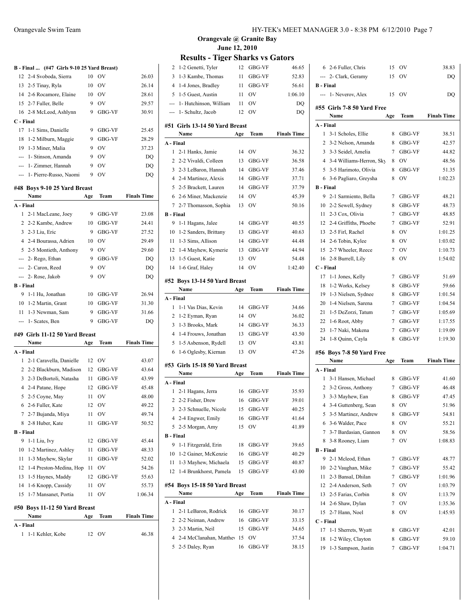|                  | B - Final  (#47 Girls 9-10 25 Yard Breast) |     |           |                    |
|------------------|--------------------------------------------|-----|-----------|--------------------|
|                  | 12 2-4 Svoboda, Sierra                     | 10  | OV        | 26.03              |
|                  | 13 2-5 Tinay, Ryla                         | 10  | OV        | 26.14              |
|                  | 14 2-6 Rocamore, Elaine                    | 10  | - OV      | 28.61              |
|                  | 15 2-7 Fuller, Belle                       | 9   | - OV      | 29.57              |
|                  | 16 2-8 McLeod, Ashlynn                     | 9   | GBG-VF    | 30.91              |
| C - Final        |                                            |     |           |                    |
|                  | 17 1-1 Sims, Danielle                      |     | 9 GBG-VF  | 25.45              |
|                  | 18 1-2 Milburn, Maggie                     |     | 9 GBG-VF  | 28.29              |
|                  | 19 1-3 Miner, Malia                        |     | 9 OV      | 37.23              |
|                  | --- 1- Stinson, Amanda                     | 9   | <b>OV</b> | DQ                 |
|                  | --- 1- Zimmer, Hannah                      | 9   | OV        | DQ                 |
|                  | --- 1- Pierre-Russo, Naomi                 | 9   | OV        | DQ                 |
|                  |                                            |     |           |                    |
|                  | #48 Boys 9-10 25 Yard Breast<br>Name       | Age | Team      | <b>Finals Time</b> |
| A - Final        |                                            |     |           |                    |
| 1                | 2-1 MacLeane, Joey                         | 9   | GBG-VF    | 23.08              |
|                  | 2 2-2 Kambe, Andrew                        |     | 10 GBG-VF | 24.41              |
|                  | 3 2-3 Liu, Eric                            | 9   | GBG-VF    | 27.52              |
|                  | 4 2-4 Bourassa, Adrien                     | 10  | OV        | 29.49              |
|                  | 5 2-5 Montieth, Anthony                    | 9   | OV        | 29.60              |
|                  |                                            | 9   | GBG-VF    |                    |
|                  | --- 2- Rego, Ethan                         | 9   | OV        | DQ                 |
|                  | --- 2- Caron, Reed                         |     |           | DQ                 |
|                  | --- 2- Rose, Jakob                         | 9   | <b>OV</b> | DQ                 |
| <b>B</b> - Final |                                            |     |           |                    |
|                  | 9 1-1 Hu, Jonathan                         |     | 10 GBG-VF | 26.94              |
|                  | 10 1-2 Martin, Grant                       |     | 10 GBG-VF | 31.30              |
|                  | 11 1-3 Newman, Sam                         | 9   | GBG-VF    | 31.66              |
|                  | --- 1- Scates, Ben                         | 9   | GBG-VF    | DQ                 |
|                  | #49 Girls 11-12 50 Yard Breast             |     |           |                    |
|                  | Name                                       | Age | Team      | <b>Finals Time</b> |
| A - Final        |                                            |     |           |                    |
| 1                | 2-1 Caravella, Danielle                    |     | 12 OV     | 43.07              |
|                  | 2 2-2 Blackburn, Madison                   |     | 12 GBG-VF | 43.64              |
|                  | 3 2-3 DeBortoli, Natasha                   |     | 11 GBG-VF | 43.99              |
|                  | 4 2-4 Patane, Hope                         | 12  | GBG-VF    | 45.48              |
|                  | 5 2-5 Coyne, May                           | 11  | OV        | 48.00              |
|                  | 6 2-6 Fuller, Kate                         |     | 12 OV     | 49.22              |
|                  | 7 2-7 Bujanda, Miya                        | 11  | OV        | 49.74              |
| 8                | 2-8 Huber, Kate                            | 11  | GBG-VF    | 50.52              |
| <b>B</b> - Final |                                            |     |           |                    |
| 9                | 1-1 Liu, Ivy                               | 12  | GBG-VF    | 45.44              |
| 10               | 1-2 Martinez, Ashley                       | 11  | GBG-VF    | 48.33              |
| 11               | 1-3 Mayhew, Skylar                         | 11  | GBG-VF    | 52.02              |
| 12               | 1-4 Preston-Medina, Hop                    | 11  | OV        | 54.26              |
| 13               | 1-5 Haynes, Maddy                          | 12  | GBG-VF    | 55.63              |
| 14               | 1-6 Knopp, Cassidy                         | 11  | OV        | 55.73              |
| 15               | 1-7 Mansanet, Portia                       | 11  | OV        | 1:06.34            |
|                  |                                            |     |           |                    |
|                  | #50 Boys 11-12 50 Yard Breast              |     |           |                    |
|                  | Name                                       | Age | Team      | <b>Finals Time</b> |
| A - Final        |                                            |     |           |                    |
| 1                | 1-1 Kehler, Kobe                           | 12  | OV        | 46.38              |

| 2                     | 1-2 Genetti, Tyler                     | 12  | GBG-VF                  | 46.65              |
|-----------------------|----------------------------------------|-----|-------------------------|--------------------|
| 3                     | 1-3 Kambe, Thomas                      | 11  | GBG-VF                  | 52.83              |
| 4                     | 1-4 Jones, Bradley                     | 11  | GBG-VF                  | 56.61              |
| 5                     | 1-5 Guest, Austin                      | 11  | OV                      | 1:06.10            |
| ---                   | 1- Hutchinson, William                 | 11  | OV                      | DQ                 |
|                       | --- 1- Schultz, Jacob                  | 12  | OV                      | DQ                 |
|                       | #51 Girls 13-14 50 Yard Breast         |     |                         |                    |
|                       | Name                                   | Age | Team                    | <b>Finals Time</b> |
| A - Final             |                                        |     |                         |                    |
| 1                     | 2-1 Hanks, Jamie                       | 14  | OV                      | 36.32              |
| 2                     | 2-2 Vivaldi, Colleen                   | 13  | GBG-VF                  | 36.58              |
| 3                     | 2-3 LeBaron, Hannah                    | 14  | GBG-VF                  | 37.46              |
| 4                     | 2-4 Martinez, Alexis                   | 14  | GBG-VF                  | 37.71              |
| 5                     | 2-5 Brackett, Lauren                   | 14  | GBG-VF                  | 37.79              |
| 6                     | 2-6 Miner, Mackenzie                   | 14  | OV                      | 45.39              |
| 7                     | 2-7 Thomasson, Sophia                  | 13  | OV                      | 50.16              |
| <b>B</b> - Final      |                                        |     |                         |                    |
| 9                     | 1-1 Hagans, Jalee                      | 14  | GBG-VF                  | 40.55              |
| 10                    | 1-2 Sanders, Brittany                  | 13  | <b>GBG-VF</b>           | 40.63              |
| 11                    | 1-3 Sims, Allison                      |     | 14 GBG-VF               | 44.48              |
| 12                    | 1-4 Mayhew, Kymerie                    | 13  | GBG-VF                  | 44.94              |
| 13                    | 1-5 Guest, Katie                       | 13  | OV                      | 54.48              |
| 14                    | 1-6 Graf, Haley                        | 14  | OV                      | 1:42.40            |
|                       |                                        |     |                         |                    |
|                       | #52 Boys 13-14 50 Yard Breast<br>Name  | Age | Team                    | <b>Finals Time</b> |
| A - Final             |                                        |     |                         |                    |
| 1                     | 1-1 Vas Dias, Kevin                    | 14  | GBG-VF                  | 34.66              |
| 2                     | 1-2 Eyman, Ryan                        | 14  | <b>OV</b>               | 36.02              |
| 3                     | 1-3 Brooks, Mark                       |     | 14 GBG-VF               | 36.33              |
| $\overline{4}$        | 1-4 Frouws, Jonathan                   | 13  | GBG-VF                  | 43.50              |
| 5                     | 1-5 Asbenson, Rydell                   | 13  | OV                      | 43.81              |
| 6                     | 1-6 Oglesby, Kiernan                   | 13  | <b>OV</b>               | 47.26              |
|                       |                                        |     |                         |                    |
|                       | #53 Girls 15-18 50 Yard Breast<br>Name |     | Team                    | <b>Finals Time</b> |
| A - Final             |                                        | Age |                         |                    |
| 1                     |                                        | 16  |                         |                    |
| 2                     | 2-1 Hagans, Jerra<br>2-2 Fisher, Drew  | 16  | GBG-VF<br><b>GBG-VF</b> | 35.93<br>39.01     |
| 3                     |                                        |     | GBG-VF                  | 40.25              |
|                       | 2-3 Schnuelle, Nicole                  | 15  |                         |                    |
| 4                     | 2-4 Engwer, Emily                      | 16  | GBG-VF                  | 41.64              |
| 5<br><b>B</b> - Final | 2-5 Morgan, Amy                        | 15  | OV                      | 41.89              |
| 9                     | 1-1 Fitzgerald, Erin                   | 18  | GBG-VF                  | 39.65              |
| 10                    | 1-2 Gainer, McKenzie                   |     | 16 GBG-VF               | 40.29              |
| 11                    | 1-3 Mayhew, Michaela                   | 15  | GBG-VF                  | 40.87              |
| 12                    | 1-4 Brunkhorst, Pamela                 | 15  | GBG-VF                  | 43.00              |
|                       |                                        |     |                         |                    |
|                       | #54 Boys 15-18 50 Yard Breast          |     |                         |                    |
|                       | Name                                   | Age | Team                    | <b>Finals Time</b> |
| A - Final             |                                        |     |                         |                    |
| 1                     | 2-1 LeBaron, Rodrick                   | 16  | GBG-VF                  | 30.17              |
| 2                     | 2-2 Neiman, Andrew                     | 16  | GBG-VF                  | 33.15              |
| 3                     | 2-3 Martin, Neil                       | 15  | GBG-VF                  | 34.65              |
| 4                     | 2-4 McClanahan, Matthey                | 15  | OV                      | 37.54              |
| 5                     | 2-5 Daley, Ryan                        | 16  | GBG-VF                  | 38.15              |
|                       |                                        |     |                         |                    |
|                       |                                        |     |                         |                    |

|                  | 6 2-6 Fuller, Chris        | OV<br>15<br>38.83 |           |                    |  |  |
|------------------|----------------------------|-------------------|-----------|--------------------|--|--|
|                  | --- 2- Clark, Geramy       | 15                | OV        | DQ                 |  |  |
| <b>B</b> - Final |                            |                   |           |                    |  |  |
|                  | --- 1- Neverov, Alex       | 15                | OV        | DQ                 |  |  |
|                  | #55 Girls 7-8 50 Yard Free |                   |           |                    |  |  |
|                  | Name                       | Age               | Team      | <b>Finals Time</b> |  |  |
| A - Final        |                            |                   |           |                    |  |  |
| 1                | 3-1 Scholes, Ellie         | 8                 | GBG-VF    | 38.51              |  |  |
| 2                | 3-2 Nelson, Amanda         | 8                 | GBG-VF    | 42.57              |  |  |
| 3                | 3-3 Seidel, Amelia         | 7                 | GBG-VF    | 44.82              |  |  |
| 4                | 3-4 Williams-Herron, Sky   | 8                 | OV        | 48.56              |  |  |
| 5                | 3-5 Harimoto, Olivia       | 8                 | GBG-VF    | 51.35              |  |  |
| 6                | 3-6 Pagliaro, Greysha      | 8                 | OV        | 1:02.23            |  |  |
| <b>B</b> - Final |                            |                   |           |                    |  |  |
| 9                | 2-1 Sarmiento, Bella       | 7                 | GBG-VF    | 48.21              |  |  |
| 10               | 2-2 Sewell, Sydney         | 8                 | GBG-VF    | 48.73              |  |  |
| 11               | 2-3 Cox, Olivia            | 7                 | GBG-VF    | 48.85              |  |  |
| 12               | 2-4 Griffiths, Phoebe      | 7                 | GBG-VF    | 52.91              |  |  |
| 13               | 2-5 Firl, Rachel           | 8                 | <b>OV</b> | 1:01.25            |  |  |
| 14               | 2-6 Tobin, Kylee           | 8                 | OV        | 1:03.02            |  |  |
| 15               | 2-7 Wheeler, Reece         | 7                 | OV        | 1:10.73            |  |  |
| 16               | 2-8 Burrell, Lily          | 8                 | OV        | 1:54.02            |  |  |
| C - Final        |                            |                   |           |                    |  |  |
| 17               | 1-1 Jones, Kelly           | 7                 | GBG-VF    | 51.69              |  |  |
| 18               | 1-2 Works, Kelsey          | 8                 | GBG-VF    | 59.66              |  |  |
| 19               | 1-3 Nielsen, Sydnee        | 8                 | GBG-VF    | 1:01.54            |  |  |
| 20               | 1-4 Nielsen, Sarena        | 7                 | GBG-VF    | 1:04.54            |  |  |
| 21               | 1-5 DeZorzi, Tatum         | 7                 | GBG-VF    | 1:05.69            |  |  |
| 22               | 1-6 Root, Abby             | 7                 | GBG-VF    | 1:17.55            |  |  |
| 23               | 1-7 Naki, Makena           | 7                 | GBG-VF    | 1:19.09            |  |  |
| 24               | 1-8 Quinn, Cayla           | 8                 | GBG-VF    | 1:19.30            |  |  |
|                  |                            |                   |           |                    |  |  |
|                  |                            |                   |           |                    |  |  |
|                  | #56 Boys 7-8 50 Yard Free  |                   |           |                    |  |  |
|                  | Name                       | Age               | Team      | <b>Finals Time</b> |  |  |
| A - Final        |                            |                   |           |                    |  |  |
| 1                | 3-1 Hansen, Michael        | 8                 | GBG-VF    | 41.60              |  |  |
| 2                | 3-2 Gross, Anthony         | 7                 | GBG-VF    | 46.48              |  |  |
| 3                | 3-3 Mayhew, Ean            | 8                 | GBG-VF    | 47.45              |  |  |
| 4                | 3-4 Guttenberg, Sean       | 8                 | OV        | 51.96              |  |  |
| 5                | 3-5 Martinez, Andrew       | 8                 | GBG-VF    | 54.81              |  |  |
| 6                | 3-6 Walder, Pace           | 8                 | OV        | 55.21              |  |  |
| 7                | 3-7 Bardasian, Gannon      | 8                 | OV        | 58.56              |  |  |
| 8                | 3-8 Rooney, Liam           | 7                 | OV        | 1:08.83            |  |  |
| <b>B</b> - Final |                            |                   |           |                    |  |  |
| 9                | 2-1 Mcleod, Ethan          | 7                 | GBG-VF    | 48.77              |  |  |
| 10               | 2-2 Vaughan, Mike          | 7                 | GBG-VF    | 55.42              |  |  |
| 11               | 2-3 Bansal, Dhilan         | 7                 | GBG-VF    | 1:01.96            |  |  |
|                  | 12 2-4 Anderson, Seth      | 7                 | OV        | 1:03.79            |  |  |
| 13               | 2-5 Farias, Corbin         | 8                 | OV        | 1:13.79            |  |  |
| 14               | 2-6 Shaw, Dylan            | 7                 | OV        | 1:35.36            |  |  |
| 15               | 2-7 Hann, Noel             | 8                 | OV        | 1:45.93            |  |  |
| C - Final        |                            |                   |           |                    |  |  |
| 17               | 1-1 Sherrets, Wyatt        | 8                 | GBG-VF    | 42.01              |  |  |
| 18               | 1-2 Wiley, Clayton         | 8                 | GBG-VF    | 59.10              |  |  |
| 19               | 1-3 Sampson, Justin        | 7                 | GBG-VF    | 1:04.71            |  |  |
|                  |                            |                   |           |                    |  |  |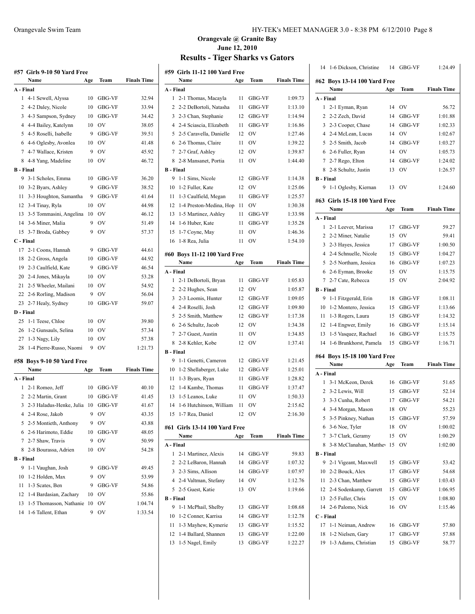| #57  Girls 9-10 50 Yard Free |                                    |     |           |                    |  |  |  |
|------------------------------|------------------------------------|-----|-----------|--------------------|--|--|--|
|                              | Name                               | Age | Team      | <b>Finals Time</b> |  |  |  |
| A - Final                    |                                    |     |           |                    |  |  |  |
| 1                            | 4-1 Sewell, Alyssa                 | 10  | GBG-VF    | 32.94              |  |  |  |
|                              | 2 4-2 Daley, Nicole                |     | 10 GBG-VF | 33.94              |  |  |  |
| 3                            | 4-3 Sampson, Sydney                | 10  | GBG-VF    | 34.42              |  |  |  |
|                              | 4 4-4 Bailey, Katelynn             | 10  | OV        | 38.05              |  |  |  |
|                              | 5 4-5 Roselli, Isabelle            | 9   | GBG-VF    | 39.51              |  |  |  |
|                              | 6 4-6 Oglesby, Avonlea             | 10  | <b>OV</b> | 41.48              |  |  |  |
|                              | 7 4-7 Wallace, Kristen             | 9   | OV        | 45.92              |  |  |  |
|                              | 8 4-8 Yang, Madeline               | 10  | OV        | 46.72              |  |  |  |
| B - Final                    |                                    |     |           |                    |  |  |  |
| 9                            | 3-1 Scholes, Emma                  | 10  | GBG-VF    | 36.20              |  |  |  |
|                              | 10 3-2 Byars, Ashley               | 9   | GBG-VF    | 38.52              |  |  |  |
| 11                           | 3-3 Houghton, Samantha             | 9   | GBG-VF    | 41.64              |  |  |  |
|                              | 12 3-4 Tinay, Ryla                 | 10  | OV        | 44.98              |  |  |  |
|                              | 13 3-5 Tommasini, Angelina         | 10  | <b>OV</b> | 46.12              |  |  |  |
| 14                           | 3-6 Miner, Malia                   | 9   | <b>OV</b> | 51.49              |  |  |  |
| 15                           | 3-7 Broda, Gabbey                  | 9   | <b>OV</b> | 57.37              |  |  |  |
| C - Final                    |                                    |     |           |                    |  |  |  |
| 17                           | 2-1 Coons, Hannah                  | 9   | GBG-VF    | 44.61              |  |  |  |
| 18                           | 2-2 Gross, Angela                  |     | 10 GBG-VF | 44.92              |  |  |  |
|                              | 19 2-3 Caulfield, Kate             | 9   | GBG-VF    | 46.54              |  |  |  |
|                              | 20 2-4 Jones, Mikayla              | 10  | OV        | 53.28              |  |  |  |
| 21                           | 2-5 Wheeler, Mailani               | 10  | <b>OV</b> | 54.92              |  |  |  |
| 22                           | 2-6 Rorling, Madison               | 9   | OV        | 56.04              |  |  |  |
|                              | 23 2-7 Healy, Sydney               | 10  | GBG-VF    | 59.07              |  |  |  |
| D - Final                    |                                    |     |           |                    |  |  |  |
| 25                           | 1-1 Teese, Chloe                   | 10  | OV        | 39.80              |  |  |  |
|                              | 26 1-2 Gunsauls, Selina            | 10  | OV        | 57.34              |  |  |  |
|                              | 27 1-3 Nagy, Lily                  | 10  | OV        | 57.38              |  |  |  |
| 28                           | 1-4 Pierre-Russo, Naomi            | -9  | OV        | 1:21.73            |  |  |  |
|                              |                                    |     |           |                    |  |  |  |
|                              | #58 Boys 9-10 50 Yard Free<br>Name |     | Team      |                    |  |  |  |
| A - Final                    |                                    | Age |           | <b>Finals Time</b> |  |  |  |
| 1                            | 2-1 Romeo, Jeff                    | 10  | GBG-VF    | 40.10              |  |  |  |
|                              | 2 2-2 Martin, Grant                | 10  | GBG-VF    | 41.45              |  |  |  |
|                              | 3 2-3 Haladus-Henke, Julia         | 10  | GBG-VF    | 41.67              |  |  |  |
|                              | 4 2-4 Rose, Jakob                  | 9   | <b>OV</b> | 43.35              |  |  |  |
|                              | 5 2-5 Montieth, Anthony            | 9   | <b>OV</b> | 43.88              |  |  |  |
|                              | 6 2-6 Harimoto, Eddie              | 10  | GBG-VF    | 48.05              |  |  |  |
| $7\phantom{.0}$              | 2-7 Shaw, Travis                   | 9   | OV        | 50.99              |  |  |  |
|                              | 8 2-8 Bourassa, Adrien             | 10  | OV        | 54.28              |  |  |  |
| <b>B</b> - Final             |                                    |     |           |                    |  |  |  |
|                              |                                    |     |           |                    |  |  |  |

| Orangevale @ Granite Bay |  |
|--------------------------|--|
| <b>June 12, 2010</b>     |  |

| <b>57  Girls 9-10 50 Yard Free</b><br>#59  Girls 11-12 100 Yard Free |                               |     |               |                    |                  |                               |     |               |                    |
|----------------------------------------------------------------------|-------------------------------|-----|---------------|--------------------|------------------|-------------------------------|-----|---------------|--------------------|
|                                                                      | Name                          | Age | Team          | <b>Finals Time</b> |                  | Name                          | Age | Team          | <b>Finals Time</b> |
|                                                                      | . - Final                     |     |               |                    | A - Final        |                               |     |               |                    |
|                                                                      | 1 4-1 Sewell, Alyssa          | 10  | <b>GBG-VF</b> | 32.94              |                  | 1 2-1 Thomas, Macayla         | 11  | <b>GBG-VF</b> | 1:09.73            |
|                                                                      | 2 4-2 Daley, Nicole           | 10  | GBG-VF        | 33.94              |                  | 2 2-2 DeBortoli, Natasha      | 11  | GBG-VF        | 1:13.10            |
|                                                                      | 3 4-3 Sampson, Sydney         | 10  | <b>GBG-VF</b> | 34.42              |                  | 3 2-3 Chan, Stephanie         | 12  | <b>GBG-VF</b> | 1:14.94            |
|                                                                      | 4 4-4 Bailey, Katelynn        | 10  | <b>OV</b>     | 38.05              |                  | 4 2-4 Sciascia, Elizabeth     | 11  | GBG-VF        | 1:16.86            |
|                                                                      | 5 4-5 Roselli, Isabelle       | 9   | GBG-VF        | 39.51              |                  | 5 2-5 Caravella, Danielle     | 12  | <b>OV</b>     | 1:27.46            |
|                                                                      | 6 4-6 Oglesby, Avonlea        | 10  | OV            | 41.48              |                  | 6 2-6 Thomas, Claire          | 11  | <b>OV</b>     | 1:39.22            |
|                                                                      | 7 4-7 Wallace, Kristen        | 9   | OV            | 45.92              |                  | 7 2-7 Graf, Ashley            | 12  | <b>OV</b>     | 1:39.87            |
|                                                                      | 8 4-8 Yang, Madeline          | 10  | - OV          | 46.72              |                  | 8 2-8 Mansanet, Portia        |     | 11 OV         | 1:44.40            |
|                                                                      | ا - Final                     |     |               |                    | <b>B</b> - Final |                               |     |               |                    |
|                                                                      | 9 3-1 Scholes, Emma           | 10  | GBG-VF        | 36.20              |                  | 9 1-1 Sims, Nicole            | 12  | <b>GBG-VF</b> | 1:14.38            |
|                                                                      | 10 3-2 Byars, Ashley          | 9   | GBG-VF        | 38.52              |                  | 10 1-2 Fuller, Kate           | 12  | <b>OV</b>     | 1:25.06            |
|                                                                      | 11 3-3 Houghton, Samantha     | 9   | <b>GBG-VF</b> | 41.64              |                  | 11 1-3 Caulfield, Megan       | 11  | <b>GBG-VF</b> | 1:25.57            |
|                                                                      | 12 3-4 Tinay, Ryla            | 10  | <b>OV</b>     | 44.98              |                  | 12 1-4 Preston-Medina, Hop    | 11  | <b>OV</b>     | 1:30.38            |
|                                                                      | 13 3-5 Tommasini, Angelina 10 |     | <b>OV</b>     | 46.12              |                  | 13 1-5 Martinez, Ashley       | 11  | <b>GBG-VF</b> | 1:33.98            |
|                                                                      | 14 3-6 Miner, Malia           | 9   | <b>OV</b>     | 51.49              |                  | 14 1-6 Huber, Kate            | 11  | <b>GBG-VF</b> | 1:35.28            |
|                                                                      | 15 3-7 Broda, Gabbey          | 9   | OV            | 57.37              | 15               | 1-7 Coyne, May                | 11  | <b>OV</b>     | 1:46.36            |
|                                                                      | ' - Final                     |     |               |                    |                  | 16 1-8 Rea, Julia             | 11  | <b>OV</b>     | 1:54.10            |
|                                                                      | 17 2-1 Coons, Hannah          | 9   | <b>GBG-VF</b> | 44.61              |                  |                               |     |               |                    |
|                                                                      | 18 2-2 Gross, Angela          | 10  | <b>GBG-VF</b> | 44.92              |                  | #60 Boys 11-12 100 Yard Free  |     |               |                    |
|                                                                      | 19 2-3 Caulfield, Kate        | 9   | GBG-VF        | 46.54              |                  | Name                          | Age | Team          | <b>Finals Time</b> |
|                                                                      |                               | 10  | OV            |                    | A - Final        |                               |     |               |                    |
|                                                                      | 20 2-4 Jones, Mikayla         |     | OV            | 53.28              |                  | 1 2-1 DeBortoli, Bryan        | 11  | <b>GBG-VF</b> | 1:05.83            |
|                                                                      | 21 2-5 Wheeler, Mailani       | 10  |               | 54.92              |                  | 2 2-2 Hughes, Sean            | 12  | <b>OV</b>     | 1:05.87            |
|                                                                      | 22 2-6 Rorling, Madison       | 9   | <b>OV</b>     | 56.04              |                  | 3 2-3 Loomis, Hunter          | 12  | GBG-VF        | 1:09.05            |
|                                                                      | 23 2-7 Healy, Sydney          | 10  | <b>GBG-VF</b> | 59.07              |                  | 4 2-4 Roselli, Josh           | 12  | GBG-VF        | 1:09.80            |
|                                                                      | ) - Final                     |     |               |                    |                  | 5 2-5 Smith, Matthew          | 12  | <b>GBG-VF</b> | 1:17.38            |
|                                                                      | 25 1-1 Teese, Chloe           | 10  | 0V            | 39.80              |                  | 6 2-6 Schultz, Jacob          | 12  | <b>OV</b>     | 1:34.38            |
|                                                                      | 26 1-2 Gunsauls, Selina       |     | 10 OV         | 57.34              |                  | 7 2-7 Guest, Austin           | 11  | <b>OV</b>     | 1:34.85            |
|                                                                      | 27 1-3 Nagy, Lily             | 10  | <b>OV</b>     | 57.38              |                  | 8 2-8 Kehler, Kobe            | 12  | 0V            | 1:37.41            |
|                                                                      | 28 1-4 Pierre-Russo, Naomi    | 9   | <b>OV</b>     | 1:21.73            | <b>B</b> - Final |                               |     |               |                    |
|                                                                      | 58 Boys 9-10 50 Yard Free     |     |               |                    |                  | 9 1-1 Genetti, Cameron        | 12  | <b>GBG-VF</b> | 1:21.45            |
|                                                                      | Name                          | Age | Team          | <b>Finals Time</b> |                  | 10 1-2 Shellaberger, Luke     | 12  | <b>GBG-VF</b> | 1:25.01            |
|                                                                      | - Final                       |     |               |                    |                  | 11 1-3 Byars, Ryan            | 11  | <b>GBG-VF</b> | 1:28.82            |
|                                                                      | 1 2-1 Romeo, Jeff             | 10  | GBG-VF        | 40.10              |                  | 12 1-4 Kambe, Thomas          | 11  | <b>GBG-VF</b> | 1:37.47            |
|                                                                      | 2 2-2 Martin, Grant           | 10  | <b>GBG-VF</b> | 41.45              |                  | 13 1-5 Leanos, Luke           | 11  | <b>OV</b>     | 1:50.33            |
|                                                                      | 3 2-3 Haladus-Henke, Julia 10 |     | GBG-VF        | 41.67              | 14               | 1-6 Hutchinson, William       | 11  | OV            | 2:15.62            |
|                                                                      | 4 2-4 Rose, Jakob             | 9   | <b>OV</b>     | 43.35              |                  | 15 1-7 Rea, Daniel            |     | 12 OV         | 2:16.30            |
|                                                                      | 5 2-5 Montieth, Anthony       | 9   | OV            | 43.88              |                  |                               |     |               |                    |
|                                                                      | 6 2-6 Harimoto, Eddie         | 10  | GBG-VF        | 48.05              |                  | #61 Girls 13-14 100 Yard Free |     |               |                    |
|                                                                      | 7 2-7 Shaw, Travis            | 9   | OV            | 50.99              |                  | Name                          | Age | Team          | <b>Finals Time</b> |
|                                                                      | 8 2-8 Bourassa, Adrien        | 10  | OV            | 54.28              | A - Final        |                               |     |               |                    |
|                                                                      | - Final                       |     |               |                    |                  | 1 2-1 Martinez, Alexis        | 14  | GBG-VF        | 59.83              |
|                                                                      | 9 1-1 Vaughan, Josh           | 9   | GBG-VF        | 49.45              |                  | 2 2-2 LeBaron, Hannah         | 14  | GBG-VF        | 1:07.32            |
|                                                                      | 10 1-2 Holden, Max            | 9   | OV            | 53.99              |                  | 3 2-3 Sims, Allison           | 14  | GBG-VF        | 1:07.97            |
|                                                                      | 11 1-3 Scates, Ben            | 9   | GBG-VF        | 54.86              |                  | 4 2-4 Valtman, Stefany        | 14  | <b>OV</b>     | 1:12.76            |
|                                                                      | 12 1-4 Bardasian, Zachary     | 10  | OV            | 55.86              |                  | 5 2-5 Guest, Katie            |     | 13 OV         | 1:19.66            |
|                                                                      | 13 1-5 Thomasson, Nathanie 10 |     | OV            |                    | <b>B</b> - Final |                               |     |               |                    |
|                                                                      |                               | 9   |               | 1:04.74            |                  | 9 1-1 McPhail, Shelby         | 13  | GBG-VF        | 1:08.68            |
|                                                                      | 14 1-6 Tallent, Ethan         |     | OV            | 1:33.54            |                  | 10 1-2 Conner, Karrisa        | 14  | GBG-VF        | 1:12.78            |
|                                                                      |                               |     |               |                    |                  | 11 1-3 Mayhew, Kymerie        | 13  | GBG-VF        | 1:15.52            |
|                                                                      |                               |     |               |                    |                  | 12 1-4 Ballard, Shannen       | 13  | GBG-VF        | 1:22.00            |
|                                                                      |                               |     |               |                    |                  | 13 1-5 Nagel, Emily           | 13  | GBG-VF        | 1:22.27            |

| 14               | 1-6 Dickson, Christine        | 14  | GBG-VF    | 1:24.49            |
|------------------|-------------------------------|-----|-----------|--------------------|
|                  | #62 Boys 13-14 100 Yard Free  |     |           |                    |
|                  | Name                          | Age | Team      | <b>Finals Time</b> |
| A - Final        |                               |     |           |                    |
|                  | 1 2-1 Eyman, Ryan             | 14  | <b>OV</b> | 56.72              |
| 2                | 2-2 Zech, David               | 14  | GBG-VF    | 1:01.88            |
| 3                | 2-3 Cooper, Chase             | 14  | GBG-VF    | 1:02.33            |
|                  | 4 2-4 McLean, Lucas           | 14  | OV        | 1:02.67            |
|                  | 5 2-5 Smith, Jacob            | 14  | GBG-VF    | 1:03.27            |
|                  | 6 2-6 Fuller, Ryan            | 14  | OV        | 1:05.73            |
|                  | 7 2-7 Rego, Elton             | 14  | GBG-VF    | 1:24.02            |
|                  | 8 2-8 Schultz, Justin         | 13  | OV        | 1:26.57            |
| <b>B</b> - Final |                               |     |           |                    |
| 9                | 1-1 Oglesby, Kiernan          | 13  | <b>OV</b> | 1:24.60            |
|                  | #63 Girls 15-18 100 Yard Free |     |           |                    |
|                  | Name                          | Age | Team      | <b>Finals Time</b> |
| A - Final        |                               |     |           |                    |
|                  | 1 2-1 Leever, Marissa         | 17  | GBG-VF    | 59.27              |
|                  | 2 2-2 Miner, Natalie          | 15  | OV        | 59.41              |
|                  | 3 2-3 Hayes, Jessica          | 17  | GBG-VF    | 1:00.50            |
|                  | 4 2-4 Schnuelle, Nicole       | 15  | GBG-VF    | 1:04.27            |
|                  | 5 2-5 Northam, Jessica        | 16  | GBG-VF    | 1:07.23            |
|                  | 6 2-6 Eyman, Brooke           | 15  | OV        | 1:15.75            |
| $7^{\circ}$      | 2-7 Cate, Rebecca             | 15  | OV        | 2:04.92            |
| <b>B</b> - Final |                               |     |           |                    |
| 9                | 1-1 Fitzgerald, Erin          | 18  | GBG-VF    | 1:08.11            |
|                  | 10 1-2 Montero, Jessica       | 15  | GBG-VF    | 1:13.66            |
|                  | 11 1-3 Rogers, Laura          | 15  | GBG-VF    | 1:14.32            |
|                  | 12 1-4 Engwer, Emily          | 16  | GBG-VF    | 1:15.14            |
| 13               | 1-5 Vasquez, Rachael          | 16  | GBG-VF    | 1:15.75            |
| 14               | 1-6 Brunkhorst, Pamela        | 15  | GBG-VF    | 1:16.71            |
|                  | #64 Boys 15-18 100 Yard Free  |     |           |                    |
|                  | Name                          | Age | Team      | <b>Finals Time</b> |
| A - Final        |                               |     |           |                    |
| 1                | 3-1 McKeon, Derek             |     | 16 GBG-VF | 51.65              |
| 2                | 3-2 Lewis, Will               | 15  | GBG-VF    | 52.14              |
| 3                | 3-3 Cunha, Robert             | 17  | GBG-VF    | 54.21              |
|                  | 4 3-4 Morgan, Mason           | 18  | OV        | 55.23              |
|                  | 5 3-5 Pinkney, Nathan         | 15  | GBG-VF    | 57.59              |
|                  | 6 3-6 Noe, Tyler              | 18  | OV        | 1:00.02            |
|                  | 7 3-7 Clark, Geramy           | 15  | OV        | 1:00.29            |
| 8                | 3-8 McClanahan, Matthey 15    |     | OV        | 1:02.00            |
| <b>B</b> - Final |                               |     |           |                    |
| 9                | 2-1 Vigeant, Maxwell          | 15  | GBG-VF    | 53.42              |
|                  | 10 2-2 Bouck, Alex            | 17  | GBG-VF    | 54.68              |
|                  | 11 2-3 Chan, Matthew          | 15  | GBG-VF    | 1:03.43            |
|                  | 12 2-4 Sodenkamp, Garrett     | 15  | GBG-VF    | 1:06.95            |
|                  | 13 2-5 Fuller, Chris          | 15  | OV        | 1:08.80            |
| 14               | 2-6 Palomo, Nick              | 16  | OV        | 1:15.46            |
| C - Final        |                               |     |           |                    |
| 17               | 1-1 Neiman, Andrew            | 16  | GBG-VF    | 57.80              |
|                  | 18 1-2 Nielsen, Gary          | 17  | GBG-VF    | 57.88              |
|                  | 19 1-3 Adams, Christian       | 15  | GBG-VF    | 58.77              |
|                  |                               |     |           |                    |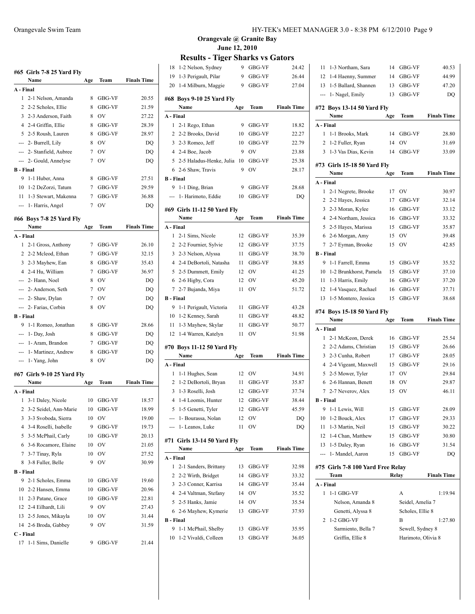|                         | #65   Girls 7-8 25 Yard Fly<br>Name | Age         | Team          | <b>Finals Time</b> |
|-------------------------|-------------------------------------|-------------|---------------|--------------------|
| A - Final               |                                     |             |               |                    |
| $\mathbf{1}$            | 2-1 Nelson, Amanda                  | 8           | GBG-VF        | 20.55              |
| 2                       | 2-2 Scholes, Ellie                  | 8           | GBG-VF        | 21.59              |
|                         | 3 2-3 Anderson, Faith               | 8           | OV            | 27.22              |
|                         | 4 2-4 Griffin, Ellie                | 8           | GBG-VF        | 28.39              |
|                         | 5 2-5 Roush, Lauren                 | 8           | GBG-VF        | 28.97              |
|                         | --- 2- Burrell, Lily                | 8           | OV            | DQ                 |
|                         | --- 2- Stanfield, Aubree            | 7           | OV            | DQ                 |
|                         | 2- Gould, Annelyse                  | 7           | OV            | DQ                 |
| <b>B</b> - Final        |                                     |             |               |                    |
| 9                       | 1-1 Huber, Anna                     | 8           | GBG-VF        | 27.51              |
|                         | 10 1-2 DeZorzi, Tatum               | $7^{\circ}$ | GBG-VF        | 29.59              |
|                         | 11 1-3 Stewart, Makenna             |             |               |                    |
|                         |                                     | 7           | GBG-VF        | 36.88              |
|                         | --- 1- Harris, Angel                | 7           | OV            | DQ                 |
|                         | #66 Boys 7-8 25 Yard Fly            |             |               |                    |
|                         | Name                                | Age         | Team          | <b>Finals Time</b> |
| A - Final               |                                     |             |               |                    |
| 1.                      | 2-1 Gross, Anthony                  | 7           | GBG-VF        | 26.10              |
| 2                       | 2-2 Mcleod, Ethan                   | $7^{\circ}$ | GBG-VF        | 32.15              |
|                         | 3 2-3 Mayhew, Ean                   | 8           | GBG-VF        | 35.43              |
|                         | 4 2-4 Hu, William                   | $7^{\circ}$ | <b>GBG-VF</b> | 36.97              |
|                         | --- 2- Hann, Noel                   | 8           | OV            | DQ                 |
|                         | --- 2- Anderson, Seth               | $7^{\circ}$ | <b>OV</b>     | DQ                 |
|                         | --- 2- Shaw, Dylan                  | $7^{\circ}$ | <b>OV</b>     | DQ                 |
|                         | --- 2- Farias, Corbin               | 8           | OV            | DQ                 |
| <b>B</b> - Final        |                                     |             |               |                    |
| 9                       | 1-1 Romeo, Jonathan                 | 8           | GBG-VF        | 28.66              |
|                         | --- 1- Day, Josh                    | 8           | GBG-VF        | DQ                 |
|                         | --- 1- Aram, Brandon                | $7^{\circ}$ | GBG-VF        | DQ                 |
| $\overline{a}$          | 1- Martinez, Andrew                 | 8           | GBG-VF        | DQ                 |
|                         | --- 1 - Yang, John                  | 8           | OV            | DQ                 |
|                         | #67  Girls 9-10 25 Yard Fly         |             |               |                    |
|                         | Name                                | Age         | Team          | <b>Finals Time</b> |
| A - Final               |                                     |             |               |                    |
| 1                       | 3-1 Daley, Nicole                   | 10          | GBG-VF        | 18.57              |
| $\overline{\mathbf{c}}$ | 3-2 Seidel, Ann-Marie               | 10          | GBG-VF        | 18.99              |
| 3                       | 3-3 Svoboda, Sierra                 | 10          | OV            | 19.00              |
| 4                       | 3-4 Roselli, Isabelle               | 9           | GBG-VF        | 19.73              |
| 5                       | 3-5 McPhail, Carly                  | 10          | GBG-VF        | 20.13              |
| 6                       | 3-6 Rocamore, Elaine                | 10          | OV            | 21.05              |
| 7                       | 3-7 Tinay, Ryla                     | 10          | OV            | 27.52              |
| 8                       | 3-8 Fuller, Belle                   | 9           | OV            | 30.99              |
| <b>B</b> - Final        |                                     |             |               |                    |
| 9                       | 2-1 Scholes, Emma                   | 10          | GBG-VF        | 19.60              |
| 10                      | 2-2 Hansen, Emma                    | 10          | GBG-VF        | 20.96              |
| 11                      | 2-3 Patane, Grace                   | 10          | GBG-VF        | 22.81              |
|                         | 12 2-4 Eilhardt, Lili               | 9           | OV            | 27.43              |
| 13                      | 2-5 Jones, Mikayla                  | 10          | OV            | 31.44              |
| 14                      | 2-6 Broda, Gabbey                   | 9           | ov            | 31.59              |
| C - Final               |                                     |             |               |                    |
| 17                      | 1-1 Sims, Danielle                  | 9           | GBG-VF        | 21.44              |
|                         |                                     |             |               |                    |

| 18               | 1-2 Nelson, Sydney                | 9   | GBG-VF | 24.42              |
|------------------|-----------------------------------|-----|--------|--------------------|
| 19               | 1-3 Perigault, Pilar              | 9   | GBG-VF | 26.44              |
| 20               | 1-4 Milburn, Maggie               | 9   | GBG-VF | 27.04              |
|                  |                                   |     |        |                    |
|                  | #68 Boys 9-10 25 Yard Fly<br>Name | Age | Team   | <b>Finals Time</b> |
| A - Final        |                                   |     |        |                    |
| 1                | 2-1 Rego, Ethan                   | 9   | GBG-VF | 18.82              |
| 2                | 2-2 Brooks, David                 | 10  | GBG-VF | 22.27              |
| 3                | 2-3 Romeo, Jeff                   | 10  | GBG-VF | 22.79              |
| $\overline{4}$   | 2-4 Boe, Jacob                    | 9   | OV     | 23.88              |
|                  | 5 2-5 Haladus-Henke, Julia        | 10  | GBG-VF | 25.38              |
|                  | 6 2-6 Shaw, Travis                | 9   | OV     | 28.17              |
| <b>B</b> - Final |                                   |     |        |                    |
| 9                |                                   | 9   |        |                    |
|                  | 1-1 Ding, Brian                   |     | GBG-VF | 28.68              |
| $---$            | 1- Harimoto, Eddie                | 10  | GBG-VF | DQ                 |
|                  | #69 Girls 11-12 50 Yard Fly       |     |        |                    |
|                  | Name                              | Age | Team   | <b>Finals Time</b> |
| A - Final        |                                   |     |        |                    |
| 1                | 2-1 Sims, Nicole                  | 12  | GBG-VF | 35.39              |
| 2                | 2-2 Fournier, Sylvie              | 12  | GBG-VF | 37.75              |
| 3                | 2-3 Nelson, Alyssa                | 11  | GBG-VF | 38.70              |
|                  | 4 2-4 DeBortoli, Natasha          | 11  | GBG-VF | 38.85              |
|                  | 5 2-5 Dummett, Emily              | 12  | OV     | 41.25              |
| 6                | 2-6 Higby, Cora                   | 12  | OV     | 45.20              |
| 7                | 2-7 Bujanda, Miya                 | 11  | OV     | 51.72              |
| <b>B</b> - Final |                                   |     |        |                    |
| 9                | 1-1 Perigault, Victoria           | 11  | GBG-VF | 43.28              |
|                  |                                   |     |        |                    |
| 10               | 1-2 Kenney, Sarah                 | 11  | GBG-VF | 48.82              |
| 11               | 1-3 Mayhew, Skylar                | 11  | GBG-VF | 50.77              |
| 12               | 1-4 Warren, Katelyn               | 11  | OV     | 51.98              |
|                  |                                   |     |        |                    |
|                  | #70 Boys 11-12 50 Yard Fly        |     |        |                    |
|                  | Name                              | Age | Team   | <b>Finals Time</b> |
| A - Final        |                                   |     |        |                    |
| 1                | 1-1 Hughes, Sean                  | 12  | OV     | 34.91              |
| 2                | 1-2 DeBortoli, Bryan              | 11  | GBG-VF | 35.87              |
| 3                | 1-3 Roselli, Josh                 | 12  | GBG-VF | 37.74              |
| $\overline{4}$   | 1-4 Loomis, Hunter                | 12  | GBG-VF | 38.44              |
| 5                | 1-5 Genetti, Tyler                | 12  | GBG-VF | 45.59              |
|                  | 1- Bourassa, Nolan                | 12  | OV     | DQ                 |
|                  | 1- Leanos, Luke                   | 11  | OV     | DQ                 |
|                  | #71 Girls 13-14 50 Yard Fly       |     |        |                    |
|                  | Name                              | Age | Team   | <b>Finals Time</b> |
| A - Final        |                                   |     |        |                    |
| 1                | 2-1 Sanders, Brittany             | 13  | GBG-VF | 32.98              |
| 2                | 2-2 Wirth, Bridget                | 14  | GBG-VF | 33.32              |
| 3                | 2-3 Conner, Karrisa               | 14  | GBG-VF | 35.44              |
| 4                | 2-4 Valtman, Stefany              | 14  | OV     | 35.52              |
| 5                | 2-5 Hanks, Jamie                  | 14  | OV     | 35.54              |
| 6                | 2-6 Mayhew, Kymerie               | 13  | GBG-VF | 37.93              |
| <b>B</b> - Final |                                   |     |        |                    |
| 9                | 1-1 McPhail, Shelby               | 13  | GBG-VF | 35.95              |
| 10               | 1-2 Vivaldi, Colleen              | 13  | GBG-VF | 36.05              |

| 11               | 1-3 Northam, Sara                        | 14    | GBG-VF             | 40.53              |
|------------------|------------------------------------------|-------|--------------------|--------------------|
| 12               | 1-4 Haenny, Summer                       | 14    | GBG-VF             | 44.99              |
| 13               | 1-5 Ballard, Shannen                     | 13    | GBG-VF             | 47.20              |
| ---              | 1- Nagel, Emily                          | 13    | GBG-VF             | DQ                 |
|                  |                                          |       |                    |                    |
|                  | #72 Boys 13-14 50 Yard Fly<br>Name       |       | Team               | <b>Finals Time</b> |
| A - Final        |                                          | Age   |                    |                    |
| 1                | 1-1 Brooks, Mark                         | 14    | GBG-VF             | 28.80              |
| $\overline{2}$   | 1-2 Fuller, Ryan                         | 14    | OV                 | 31.69              |
|                  | 3 1-3 Vas Dias, Kevin                    | 14    | GBG-VF             | 33.09              |
|                  |                                          |       |                    |                    |
|                  | #73 Girls 15-18 50 Yard Fly              |       |                    |                    |
|                  | Name                                     | Age   | Team               | <b>Finals Time</b> |
| A - Final        |                                          |       |                    |                    |
| 1                | 2-1 Negrete, Brooke                      | 17    | OV                 | 30.97              |
| $\overline{2}$   | 2-2 Hayes, Jessica                       | 17    | GBG-VF             | 32.14              |
| 3                | 2-3 Moran, Kylee                         | 16    | GBG-VF             | 33.12              |
|                  | 4 2-4 Northam, Jessica                   | 16    | GBG-VF             | 33.32              |
| 5                | 2-5 Hayes, Marissa                       | 15    | GBG-VF             | 35.87              |
|                  | 6 2-6 Morgan, Amy                        | 15    | OV                 | 39.48              |
| $7\overline{ }$  | 2-7 Eyman, Brooke                        | 15    | OV                 | 42.85              |
| <b>B</b> - Final |                                          |       |                    |                    |
| 9                | 1-1 Farrell, Emma                        | 15    | GBG-VF             | 35.52              |
| 10               | 1-2 Brunkhorst, Pamela                   | 15    | GBG-VF             | 37.10              |
|                  | 11 1-3 Harris, Emily                     | 16    | GBG-VF             | 37.20              |
|                  | 12 1-4 Vasquez, Rachael                  | 16    | GBG-VF             | 37.71              |
|                  | 13 1-5 Montero, Jessica                  | 15    | GBG-VF             | 38.68              |
|                  | #74 Boys 15-18 50 Yard Fly               |       |                    |                    |
|                  |                                          |       |                    |                    |
|                  | Name                                     |       |                    |                    |
| A - Final        |                                          | Age   | Team               | <b>Finals Time</b> |
| 1                | 2-1 McKeon, Derek                        | 16    | GBG-VF             | 25.54              |
| 2                | 2-2 Adams, Christian                     | 15    | GBG-VF             | 26.66              |
| $\overline{3}$   | 2-3 Cunha, Robert                        | 17    | GBG-VF             | 28.05              |
| 4                |                                          | 15    | GBG-VF             | 29.16              |
| 5                | 2-4 Vigeant, Maxwell<br>2-5 Mower, Tyler | 17    | OV                 | 29.84              |
|                  | 6 2-6 Hannan, Benett                     | 18    | OV                 | 29.87              |
| 7                | 2-7 Neverov, Alex                        | 15    | OV                 | 46.11              |
| <b>B</b> - Final |                                          |       |                    |                    |
|                  | 9 1-1 Lewis, Will                        | 15    | <b>GBG-VF</b>      | 28.09              |
|                  | 10 1-2 Bouck, Alex                       | 17    | GBG-VF             | 29.33              |
|                  | 11 1-3 Martin, Neil                      | 15    | GBG-VF             | 30.22              |
|                  | 12 1-4 Chan, Matthew                     | 15    | GBG-VF             | 30.80              |
|                  | 13 1-5 Daley, Ryan                       | 16    | GBG-VF             | 31.54              |
|                  |                                          | 15    | GBG-VF             | DQ                 |
|                  | --- 1- Mandel, Aaron                     |       |                    |                    |
|                  | #75  Girls 7-8 100 Yard Free Relay       |       |                    |                    |
|                  | Team                                     | Relay |                    | <b>Finals Time</b> |
| A - Final        |                                          |       |                    |                    |
| 1                | $1-1$ GBG-VF                             |       | A                  | 1:19.94            |
|                  | Nelson, Amanda 8                         |       | Seidel, Amelia 7   |                    |
|                  | Genetti, Alyssa 8                        |       | Scholes, Ellie 8   |                    |
| 2                | 1-2 GBG-VF                               |       | B                  | 1:27.80            |
|                  | Sarmiento, Bella 7                       |       | Sewell, Sydney 8   |                    |
|                  | Griffin, Ellie 8                         |       | Harimoto, Olivia 8 |                    |
|                  |                                          |       |                    |                    |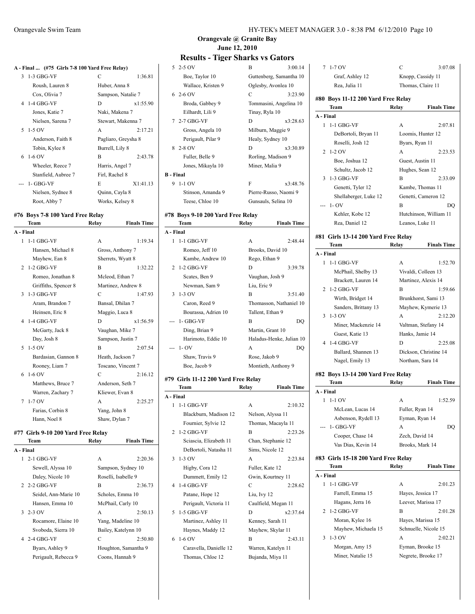|           |  | A - Final  (#75 Girls 7-8 100 Yard Free Relay) |  |
|-----------|--|------------------------------------------------|--|
| 2.120011F |  |                                                |  |

| $\mathcal{E}$ | $1-3$ GBG-VF        | C                   | 1:36.81  |
|---------------|---------------------|---------------------|----------|
|               | Roush, Lauren 8     | Huber, Anna 8       |          |
|               | Cox, Olivia 7       | Sampson, Natalie 7  |          |
| 4             | $1-4$ GBG-VF        | D                   | x1:55.90 |
|               | Jones, Katie 7      | Naki, Makena 7      |          |
|               | Nielsen, Sarena 7   | Stewart, Makenna 7  |          |
|               | $5 - 1 - 5$ OV      | A                   | 2:17.21  |
|               | Anderson, Faith 8   | Pagliaro, Greysha 8 |          |
|               | Tobin, Kylee 8      | Burrell, Lily 8     |          |
|               | $6\;1-6\;0V$        | B                   | 2:43.78  |
|               | Wheeler, Reece 7    | Harris, Angel 7     |          |
|               | Stanfield, Aubree 7 | Firl, Rachel 8      |          |
|               | $1 - GBG-VF$        | E                   | X1:41.13 |
|               | Nielsen, Sydnee 8   | Quinn, Cayla 8      |          |
|               | Root, Abby 7        | Works, Kelsey 8     |          |
|               |                     |                     |          |

# **#76 Boys 7-8 100 Yard Free Relay**

|                | Team                 | Relay         | <b>Finals Time</b> |
|----------------|----------------------|---------------|--------------------|
| A - Final      |                      |               |                    |
| 1              | $1-1$ GBG-VF         | A             | 1:19.34            |
|                | Hansen, Michael 8    |               | Gross, Anthony 7   |
|                | Mayhew, Ean 8        |               | Sherrets, Wyatt 8  |
| $\overline{2}$ | $1-2$ GBG-VF         | B             | 1:32.22            |
|                | Romeo, Jonathan 8    |               | Mcleod, Ethan 7    |
|                | Griffiths, Spencer 8 |               | Martinez, Andrew 8 |
| 3              | $1-3$ GBG-VF         | C             | 1:47.93            |
|                | Aram, Brandon 7      |               | Bansal, Dhilan 7   |
|                | Heinsen, Eric 8      |               | Maggio, Luca 8     |
|                | 4 1-4 GBG-VF         | D             | x1:56.59           |
|                | McGarty, Jack 8      |               | Vaughan, Mike 7    |
|                | Day, Josh 8          |               | Sampson, Justin 7  |
| 5              | $1-5$ OV             | B             | 2:07.54            |
|                | Bardasian, Gannon 8  |               | Heath, Jackson 7   |
|                | Rooney, Liam 7       |               | Toscano, Vincent 7 |
| 6              | $1-6$ OV             | C             | 2:16.12            |
|                | Matthews, Bruce 7    |               | Anderson, Seth 7   |
|                | Warren, Zachary 7    |               | Kliewer, Evan 8    |
| 7              | $1-7$ OV             | A             | 2:25.27            |
|                | Farias, Corbin 8     | Yang, John 8  |                    |
|                | Hann, Noel 8         | Shaw, Dylan 7 |                    |
|                |                      |               |                    |

#### **#77 Girls 9-10 200 Yard Free Relay**

|           | Team                 | Relay | <b>Finals Time</b>   |
|-----------|----------------------|-------|----------------------|
| A - Final |                      |       |                      |
|           | 1 2-1 GBG-VF         | A     | 2:20.36              |
|           | Sewell, Alyssa 10    |       | Sampson, Sydney 10   |
|           | Daley, Nicole 10     |       | Roselli, Isabelle 9  |
|           | $2-2-2$ GBG-VF       | B     | 2:36.73              |
|           | Seidel, Ann-Marie 10 |       | Scholes, Emma 10     |
|           | Hansen, Emma 10      |       | McPhail, Carly 10    |
|           | $3\;2-3\;0V$         | A     | 2:50.13              |
|           | Rocamore, Elaine 10  |       | Yang, Madeline 10    |
|           | Svoboda, Sierra 10   |       | Bailey, Katelynn 10  |
|           | 4 2-4 GBG-VF         | C     | 2:50.80              |
|           | Byars, Ashley 9      |       | Houghton, Samantha 9 |
|           | Perigault, Rebecca 9 |       | Coons, Hannah 9      |
|           |                      |       |                      |

| Orangevale Swim Team | HY-TEK's MEET MANAGER 3.0 - 8:38 PM 6/12/2010 Page 10 |
|----------------------|-------------------------------------------------------|
|                      |                                                       |
|                      |                                                       |

#### **Orangevale @ Granite Bay June 12, 2010**

# **Results - Tiger Sharks vs Gators**

|                  | 5 2-5 OV                                                           | B                       | 3:00.14  |
|------------------|--------------------------------------------------------------------|-------------------------|----------|
|                  | Boe, Taylor 10                                                     | Guttenberg, Samantha 10 |          |
|                  | Wallace, Kristen 9                                                 | Oglesby, Avonlea 10     |          |
|                  | $62-6$ OV                                                          | C                       | 3:23.90  |
|                  | Broda, Gabbey 9                                                    | Tommasini, Angelina 10  |          |
|                  | Eilhardt, Lili 9                                                   | Tinay, Ryla 10          |          |
|                  | 7 2-7 GBG-VF                                                       | D                       | x3:28.63 |
|                  | Gross, Angela 10                                                   | Milburn, Maggie 9       |          |
|                  | Perigault, Pilar 9                                                 | Healy, Sydney 10        |          |
|                  | 8 2-8 OV                                                           | D                       | x3:30.89 |
|                  | Fuller, Belle 9                                                    | Rorling, Madison 9      |          |
|                  | Jones, Mikayla 10                                                  | Miner, Malia 9          |          |
| <b>B</b> - Final |                                                                    |                         |          |
|                  | 9 1-1 OV                                                           | F                       | x3:48.76 |
|                  | Stinson, Amanda 9                                                  | Pierre-Russo, Naomi 9   |          |
|                  | Teese, Chloe 10                                                    | Gunsauls, Selina 10     |          |
|                  | $\mu$ and $\alpha$ and $\alpha$ in $\alpha$ is the set of $\alpha$ |                         |          |

#### **#78 Boys 9-10 200 Yard Free Relay Team Relay Finals Times**

|              | теаш                                           | кегау            | гшаіз тіше               |
|--------------|------------------------------------------------|------------------|--------------------------|
| A - Final    |                                                |                  |                          |
| $\mathbf{1}$ | $1-1$ GBG-VF                                   | A                | 2:48.44                  |
|              | Romeo, Jeff 10                                 |                  | Brooks, David 10         |
|              | Kambe, Andrew 10                               | Rego, Ethan 9    |                          |
|              | $2 \text{ } 1\text{-}2 \text{ } GBG\text{-}VF$ | D                | 3:39.78                  |
|              | Scates, Ben 9                                  |                  | Vaughan, Josh 9          |
|              | Newman, Sam 9                                  | Liu, Eric 9      |                          |
|              | $3 \t1-3$ OV                                   | R                | 3:51.40                  |
|              | Caron, Reed 9                                  |                  | Thomasson, Nathaniel 10  |
|              | Bourassa, Adrien 10                            | Tallent, Ethan 9 |                          |
|              | --- 1- GBG-VF                                  | B                | DQ                       |
|              | Ding, Brian 9                                  |                  | Martin, Grant 10         |
|              | Harimoto, Eddie 10                             |                  | Haladus-Henke, Julian 10 |
| ---          | $1 - OV$                                       | A                | DO                       |
|              | Shaw, Travis 9                                 | Rose, Jakob 9    |                          |
|              | Boe, Jacob 9                                   |                  | Montieth, Anthony 9      |

#### **#79 Girls 11-12 200 Yard Free Relay**

|              | Team                   | Relay            | <b>Finals Time</b>  |
|--------------|------------------------|------------------|---------------------|
| A - Final    |                        |                  |                     |
| $\mathbf{1}$ | $1-1$ GBG-VF           | A                | 2:10.32             |
|              | Blackburn, Madison 12  |                  | Nelson, Alyssa 11   |
|              | Fournier, Sylvie 12    |                  | Thomas, Macayla 11  |
|              | 2 1-2 GBG-VF           | B                | 2:23.26             |
|              | Sciascia, Elizabeth 11 |                  | Chan, Stephanie 12  |
|              | DeBortoli, Natasha 11  | Sims, Nicole 12  |                     |
|              | $3 \t1-3$ OV           | A                | 2:23.84             |
|              | Higby, Cora 12         | Fuller, Kate 12  |                     |
|              | Dummett, Emily 12      |                  | Gwin, Kourtney 11   |
|              | 4 1-4 GBG-VF           | C                | 2:28.62             |
|              | Patane, Hope 12        | Liu, Ivy 12      |                     |
|              | Perigault, Victoria 11 |                  | Caulfield, Megan 11 |
|              | 5 1-5 GBG-VF           | D                | x2:37.64            |
|              | Martinez, Ashley 11    | Kenney, Sarah 11 |                     |
|              | Haynes, Maddy 12       |                  | Mayhew, Skylar 11   |
| 6            | $1-6$ OV               | B                | 2:43.11             |
|              | Caravella, Danielle 12 |                  | Warren, Katelyn 11  |
|              | Thomas, Chloe 12       |                  | Bujanda, Miya 11    |
|              |                        |                  |                     |

| 7              | $1-7$ OV                            | C     | 3:07.08                |  |
|----------------|-------------------------------------|-------|------------------------|--|
|                | Graf, Ashley 12                     |       | Knopp, Cassidy 11      |  |
|                | Rea, Julia 11                       |       | Thomas, Claire 11      |  |
|                | #80 Boys 11-12 200 Yard Free Relay  |       |                        |  |
|                | Team                                | Relay | <b>Finals Time</b>     |  |
| A - Final      |                                     |       |                        |  |
| 1              | $1-1$ GBG-VF                        | A     | 2:07.81                |  |
|                | DeBortoli, Bryan 11                 |       | Loomis, Hunter 12      |  |
|                | Roselli, Josh 12                    |       | Byars, Ryan 11         |  |
| $\mathfrak{D}$ | $1-2$ OV                            | A     | 2:23.53                |  |
|                | Boe, Joshua 12                      |       | Guest, Austin 11       |  |
|                | Schultz, Jacob 12                   |       | Hughes, Sean 12        |  |
| 3              | 1-3 GBG-VF                          | B     | 2:33.09                |  |
|                | Genetti, Tyler 12                   |       | Kambe, Thomas 11       |  |
|                | Shellaberger, Luke 12               |       | Genetti, Cameron 12    |  |
|                | --- 1- OV                           | B     | DO                     |  |
|                | Kehler, Kobe 12                     |       | Hutchinson, William 11 |  |
|                | Rea, Daniel 12                      |       | Leanos, Luke 11        |  |
|                | #81 Girls 13-14 200 Yard Free Relay |       |                        |  |
|                | Team                                | Relay | <b>Finals Time</b>     |  |
| A - Final      |                                     |       |                        |  |
| 1              | $1-1$ GBG-VF                        | A     | 1:52.70                |  |
|                | McPhail, Shelby 13                  |       | Vivaldi, Colleen 13    |  |
|                | Brackett, Lauren 14                 |       | Martinez, Alexis 14    |  |
| $\mathfrak{D}$ | $1-2$ GBG-VF                        | B     | 1:59.66                |  |
|                | Wirth, Bridget 14                   |       | Brunkhorst, Sami 13    |  |
|                | Sanders, Brittany 13                |       | Mayhew, Kymerie 13     |  |
| 3              | $1-3$ OV                            | A     | 2:12.20                |  |
|                | Miner, Mackenzie 14                 |       | Valtman, Stefany 14    |  |

| Guest, Katie 13 |                     | Hanks, Jamie 14 |                       |  |
|-----------------|---------------------|-----------------|-----------------------|--|
|                 | 4 1-4 GBG-VF        | D               | 2:25.08               |  |
|                 | Ballard, Shannen 13 |                 | Dickson, Christine 14 |  |
|                 | Nagel, Emily 13     |                 | Northam, Sara 14      |  |
|                 |                     |                 |                       |  |

#### **#82 Boys 13-14 200 Yard Free Relay**

| Team                | <b>Relay</b>   | <b>Finals Time</b>                                                       |
|---------------------|----------------|--------------------------------------------------------------------------|
| A - Final           |                |                                                                          |
| $1-1$ OV            | A              | 1:52.59                                                                  |
| McLean, Lucas 14    |                |                                                                          |
| Asbenson, Rydell 13 |                |                                                                          |
| $-1 - GBG-VF$       | A              | DO                                                                       |
| Cooper, Chase 14    | Zech, David 14 |                                                                          |
| Vas Dias, Kevin 14  |                | Brooks, Mark 14                                                          |
|                     |                |                                                                          |
| Team                | <b>Relay</b>   | <b>Finals Time</b>                                                       |
| A - Final           |                |                                                                          |
|                     |                |                                                                          |
| $1-1$ GBG-VF        | A              | 2:01.23                                                                  |
| Farrell, Emma 15    |                | Hayes, Jessica 17                                                        |
| Hagans, Jerra 16    |                | Leever, Marissa 17                                                       |
| 2 1-2 GBG-VF        | R              | 2:01.28                                                                  |
| Moran, Kylee 16     |                | Hayes, Marissa 15                                                        |
| Mayhew, Michaela 15 |                | Schnuelle, Nicole 15                                                     |
| $1-3$ OV            | A              | 2:02.21                                                                  |
| Morgan, Amy 15      |                | Eyman, Brooke 15                                                         |
|                     |                | Fuller, Ryan 14<br>Eyman, Ryan 14<br>#83 Girls 15-18 200 Yard Free Relay |